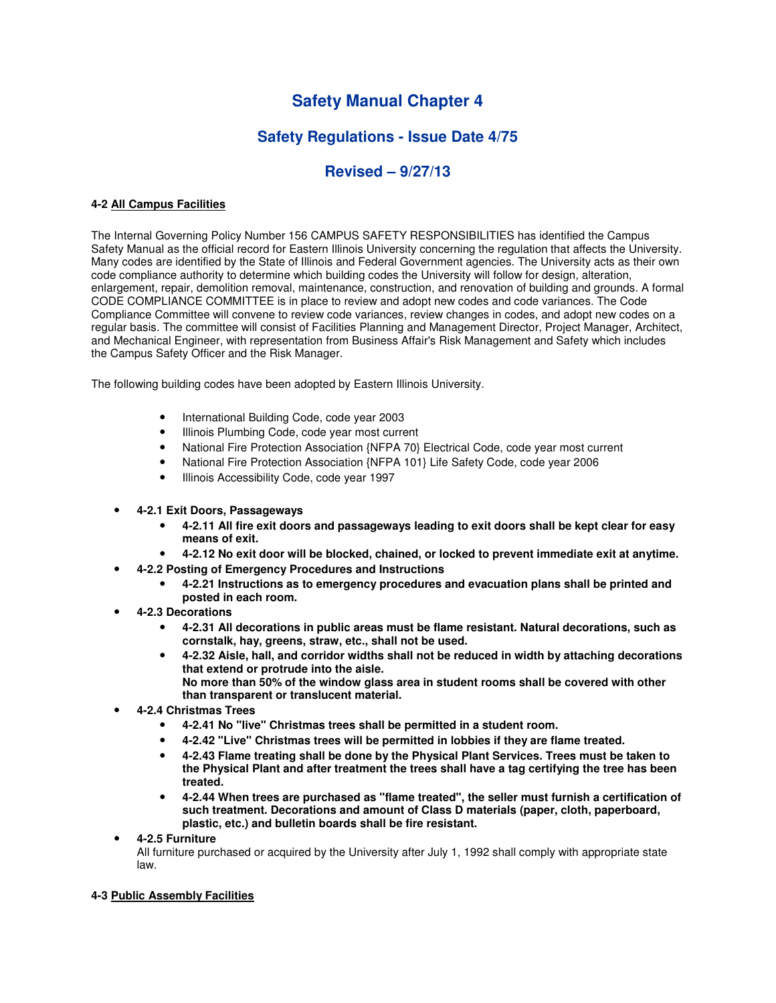# **Safety Manual Chapter 4**

## **Safety Regulations - Issue Date 4/75**

## **Revised – 9/27/13**

## **4-2 All Campus Facilities**

The Internal Governing Policy Number 156 CAMPUS SAFETY RESPONSIBILITIES has identified the Campus Safety Manual as the official record for Eastern Illinois University concerning the regulation that affects the University. Many codes are identified by the State of Illinois and Federal Government agencies. The University acts as their own code compliance authority to determine which building codes the University will follow for design, alteration, enlargement, repair, demolition removal, maintenance, construction, and renovation of building and grounds. A formal CODE COMPLIANCE COMMITTEE is in place to review and adopt new codes and code variances. The Code Compliance Committee will convene to review code variances, review changes in codes, and adopt new codes on a regular basis. The committee will consist of Facilities Planning and Management Director, Project Manager, Architect, and Mechanical Engineer, with representation from Business Affair's Risk Management and Safety which includes the Campus Safety Officer and the Risk Manager.

The following building codes have been adopted by Eastern Illinois University.

- International Building Code, code year 2003
- Illinois Plumbing Code, code year most current
- National Fire Protection Association {NFPA 70} Electrical Code, code year most current
- National Fire Protection Association {NFPA 101} Life Safety Code, code year 2006
- Illinois Accessibility Code, code year 1997
- **4-2.1 Exit Doors, Passageways** 
	- **4-2.11 All fire exit doors and passageways leading to exit doors shall be kept clear for easy means of exit.**
	- **4-2.12 No exit door will be blocked, chained, or locked to prevent immediate exit at anytime.**
- **4-2.2 Posting of Emergency Procedures and Instructions** 
	- **4-2.21 Instructions as to emergency procedures and evacuation plans shall be printed and posted in each room.**
- **4-2.3 Decorations** 
	- **4-2.31 All decorations in public areas must be flame resistant. Natural decorations, such as cornstalk, hay, greens, straw, etc., shall not be used.**
	- **4-2.32 Aisle, hall, and corridor widths shall not be reduced in width by attaching decorations that extend or protrude into the aisle. No more than 50% of the window glass area in student rooms shall be covered with other** 
		- **than transparent or translucent material.**
- **4-2.4 Christmas Trees** 
	- **4-2.41 No "live" Christmas trees shall be permitted in a student room.**
	- **4-2.42 "Live" Christmas trees will be permitted in lobbies if they are flame treated.**
	- **4-2.43 Flame treating shall be done by the Physical Plant Services. Trees must be taken to the Physical Plant and after treatment the trees shall have a tag certifying the tree has been treated.**
	- **4-2.44 When trees are purchased as "flame treated", the seller must furnish a certification of such treatment. Decorations and amount of Class D materials (paper, cloth, paperboard, plastic, etc.) and bulletin boards shall be fire resistant.**
- **4-2.5 Furniture**

All furniture purchased or acquired by the University after July 1, 1992 shall comply with appropriate state law.

## **4-3 Public Assembly Facilities**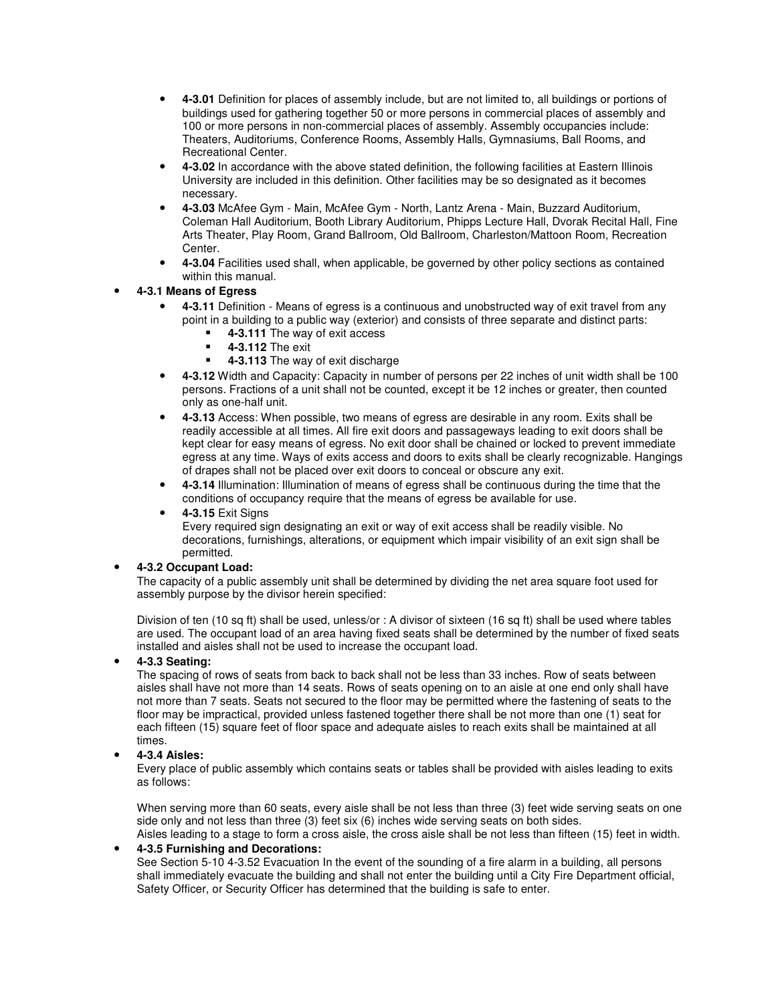- **4-3.01** Definition for places of assembly include, but are not limited to, all buildings or portions of buildings used for gathering together 50 or more persons in commercial places of assembly and 100 or more persons in non-commercial places of assembly. Assembly occupancies include: Theaters, Auditoriums, Conference Rooms, Assembly Halls, Gymnasiums, Ball Rooms, and Recreational Center.
- **4-3.02** In accordance with the above stated definition, the following facilities at Eastern Illinois University are included in this definition. Other facilities may be so designated as it becomes necessary.
- **4-3.03** McAfee Gym Main, McAfee Gym North, Lantz Arena Main, Buzzard Auditorium, Coleman Hall Auditorium, Booth Library Auditorium, Phipps Lecture Hall, Dvorak Recital Hall, Fine Arts Theater, Play Room, Grand Ballroom, Old Ballroom, Charleston/Mattoon Room, Recreation Center.
- **4-3.04** Facilities used shall, when applicable, be governed by other policy sections as contained within this manual.

## • **4-3.1 Means of Egress**

- **4-3.11** Definition Means of egress is a continuous and unobstructed way of exit travel from any point in a building to a public way (exterior) and consists of three separate and distinct parts:
	- **4-3.111** The way of exit access
	- **4-3.112** The exit
	- **4-3.113** The way of exit discharge
- **4-3.12** Width and Capacity: Capacity in number of persons per 22 inches of unit width shall be 100 persons. Fractions of a unit shall not be counted, except it be 12 inches or greater, then counted only as one-half unit.
- **4-3.13** Access: When possible, two means of egress are desirable in any room. Exits shall be readily accessible at all times. All fire exit doors and passageways leading to exit doors shall be kept clear for easy means of egress. No exit door shall be chained or locked to prevent immediate egress at any time. Ways of exits access and doors to exits shall be clearly recognizable. Hangings of drapes shall not be placed over exit doors to conceal or obscure any exit.
- **4-3.14** Illumination: Illumination of means of egress shall be continuous during the time that the conditions of occupancy require that the means of egress be available for use.
- **4-3.15** Exit Signs

Every required sign designating an exit or way of exit access shall be readily visible. No decorations, furnishings, alterations, or equipment which impair visibility of an exit sign shall be permitted.

#### • **4-3.2 Occupant Load:**

The capacity of a public assembly unit shall be determined by dividing the net area square foot used for assembly purpose by the divisor herein specified:

Division of ten (10 sq ft) shall be used, unless/or : A divisor of sixteen (16 sq ft) shall be used where tables are used. The occupant load of an area having fixed seats shall be determined by the number of fixed seats installed and aisles shall not be used to increase the occupant load.

#### • **4-3.3 Seating:**

The spacing of rows of seats from back to back shall not be less than 33 inches. Row of seats between aisles shall have not more than 14 seats. Rows of seats opening on to an aisle at one end only shall have not more than 7 seats. Seats not secured to the floor may be permitted where the fastening of seats to the floor may be impractical, provided unless fastened together there shall be not more than one (1) seat for each fifteen (15) square feet of floor space and adequate aisles to reach exits shall be maintained at all times.

#### • **4-3.4 Aisles:**

Every place of public assembly which contains seats or tables shall be provided with aisles leading to exits as follows:

When serving more than 60 seats, every aisle shall be not less than three (3) feet wide serving seats on one side only and not less than three (3) feet six (6) inches wide serving seats on both sides. Aisles leading to a stage to form a cross aisle, the cross aisle shall be not less than fifteen (15) feet in width.

#### • **4-3.5 Furnishing and Decorations:**

See Section 5-10 4-3.52 Evacuation In the event of the sounding of a fire alarm in a building, all persons shall immediately evacuate the building and shall not enter the building until a City Fire Department official, Safety Officer, or Security Officer has determined that the building is safe to enter.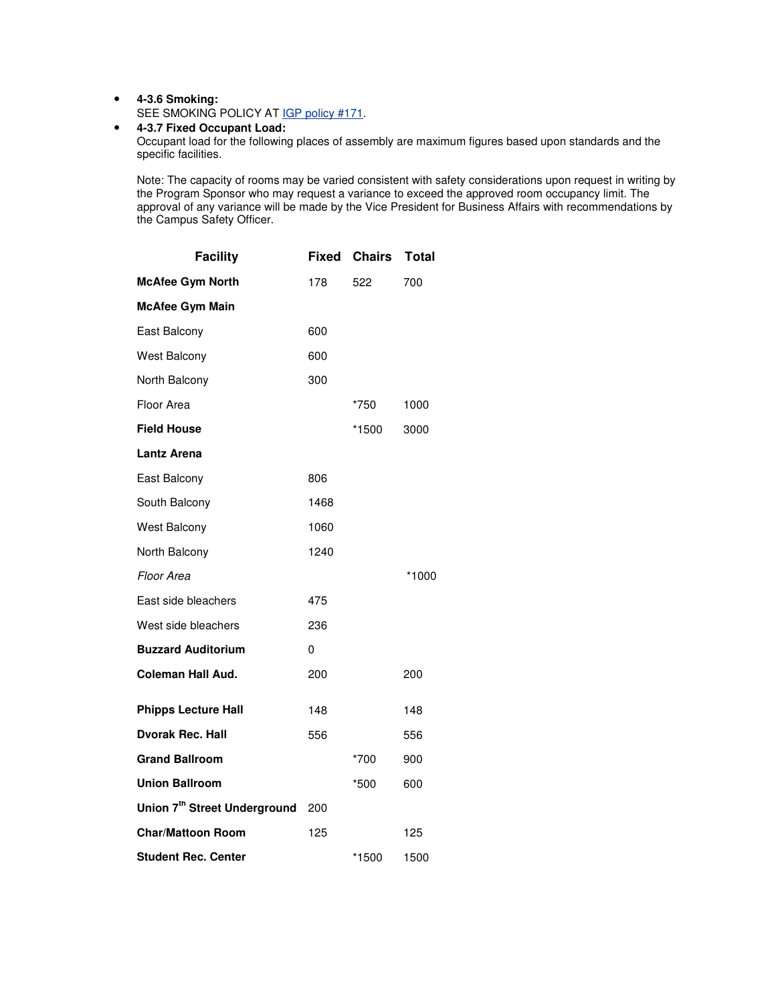• **4-3.6 Smoking:**

SEE SMOKING POLICY AT IGP policy #171.

## • **4-3.7 Fixed Occupant Load:**

Occupant load for the following places of assembly are maximum figures based upon standards and the specific facilities.

Note: The capacity of rooms may be varied consistent with safety considerations upon request in writing by the Program Sponsor who may request a variance to exceed the approved room occupancy limit. The approval of any variance will be made by the Vice President for Business Affairs with recommendations by the Campus Safety Officer.

| <b>Facility</b>                          | <b>Fixed</b> | <b>Chairs</b> | <b>Total</b> |
|------------------------------------------|--------------|---------------|--------------|
| <b>McAfee Gym North</b>                  | 178          | 522           | 700          |
| <b>McAfee Gym Main</b>                   |              |               |              |
| East Balcony                             | 600          |               |              |
| <b>West Balcony</b>                      | 600          |               |              |
| North Balcony                            | 300          |               |              |
| Floor Area                               |              | *750          | 1000         |
| <b>Field House</b>                       |              | *1500         | 3000         |
| <b>Lantz Arena</b>                       |              |               |              |
| East Balcony                             | 806          |               |              |
| South Balcony                            | 1468         |               |              |
| <b>West Balcony</b>                      | 1060         |               |              |
| North Balcony                            | 1240         |               |              |
| Floor Area                               |              |               | *1000        |
| East side bleachers                      | 475          |               |              |
| West side bleachers                      | 236          |               |              |
| <b>Buzzard Auditorium</b>                | 0            |               |              |
| Coleman Hall Aud.                        | 200          |               | 200          |
| <b>Phipps Lecture Hall</b>               | 148          |               | 148          |
| <b>Dvorak Rec. Hall</b>                  | 556          |               | 556          |
| <b>Grand Ballroom</b>                    |              | *700          | 900          |
| <b>Union Ballroom</b>                    |              | *500          | 600          |
| Union 7 <sup>th</sup> Street Underground | 200          |               |              |
| <b>Char/Mattoon Room</b>                 | 125          |               | 125          |
| <b>Student Rec. Center</b>               |              | *1500         | 1500         |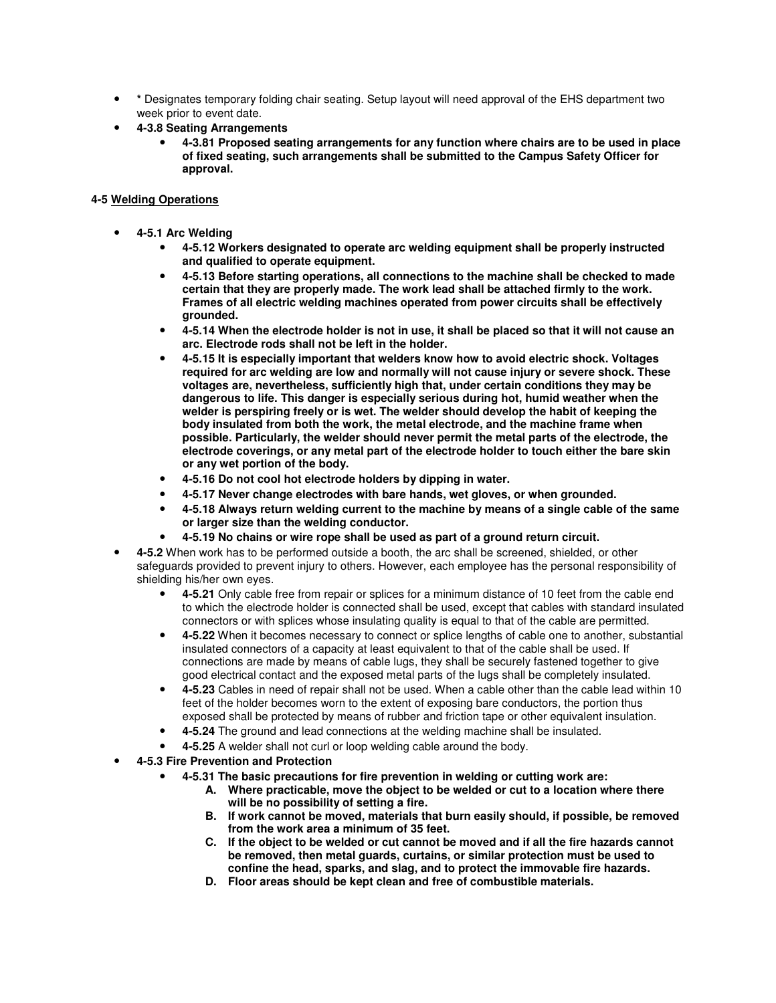- **\*** Designates temporary folding chair seating. Setup layout will need approval of the EHS department two week prior to event date.
- **4-3.8 Seating Arrangements** 
	- **4-3.81 Proposed seating arrangements for any function where chairs are to be used in place of fixed seating, such arrangements shall be submitted to the Campus Safety Officer for approval.**

#### **4-5 Welding Operations**

- **4-5.1 Arc Welding** 
	- **4-5.12 Workers designated to operate arc welding equipment shall be properly instructed and qualified to operate equipment.**
	- **4-5.13 Before starting operations, all connections to the machine shall be checked to made certain that they are properly made. The work lead shall be attached firmly to the work. Frames of all electric welding machines operated from power circuits shall be effectively grounded.**
	- **4-5.14 When the electrode holder is not in use, it shall be placed so that it will not cause an arc. Electrode rods shall not be left in the holder.**
	- **4-5.15 It is especially important that welders know how to avoid electric shock. Voltages required for arc welding are low and normally will not cause injury or severe shock. These voltages are, nevertheless, sufficiently high that, under certain conditions they may be dangerous to life. This danger is especially serious during hot, humid weather when the welder is perspiring freely or is wet. The welder should develop the habit of keeping the body insulated from both the work, the metal electrode, and the machine frame when possible. Particularly, the welder should never permit the metal parts of the electrode, the electrode coverings, or any metal part of the electrode holder to touch either the bare skin or any wet portion of the body.**
	- **4-5.16 Do not cool hot electrode holders by dipping in water.**
	- **4-5.17 Never change electrodes with bare hands, wet gloves, or when grounded.**
	- **4-5.18 Always return welding current to the machine by means of a single cable of the same or larger size than the welding conductor.**
	- **4-5.19 No chains or wire rope shall be used as part of a ground return circuit.**
- **4-5.2** When work has to be performed outside a booth, the arc shall be screened, shielded, or other safeguards provided to prevent injury to others. However, each employee has the personal responsibility of shielding his/her own eyes.
	- **4-5.21** Only cable free from repair or splices for a minimum distance of 10 feet from the cable end to which the electrode holder is connected shall be used, except that cables with standard insulated connectors or with splices whose insulating quality is equal to that of the cable are permitted.
	- **4-5.22** When it becomes necessary to connect or splice lengths of cable one to another, substantial insulated connectors of a capacity at least equivalent to that of the cable shall be used. If connections are made by means of cable lugs, they shall be securely fastened together to give good electrical contact and the exposed metal parts of the lugs shall be completely insulated.
	- **4-5.23** Cables in need of repair shall not be used. When a cable other than the cable lead within 10 feet of the holder becomes worn to the extent of exposing bare conductors, the portion thus exposed shall be protected by means of rubber and friction tape or other equivalent insulation.
	- **4-5.24** The ground and lead connections at the welding machine shall be insulated.
	- **4-5.25** A welder shall not curl or loop welding cable around the body.
- **4-5.3 Fire Prevention and Protection** 
	- **4-5.31 The basic precautions for fire prevention in welding or cutting work are:** 
		- **A. Where practicable, move the object to be welded or cut to a location where there will be no possibility of setting a fire.**
		- **B. If work cannot be moved, materials that burn easily should, if possible, be removed from the work area a minimum of 35 feet.**
		- **C. If the object to be welded or cut cannot be moved and if all the fire hazards cannot be removed, then metal guards, curtains, or similar protection must be used to confine the head, sparks, and slag, and to protect the immovable fire hazards.**
		- **D. Floor areas should be kept clean and free of combustible materials.**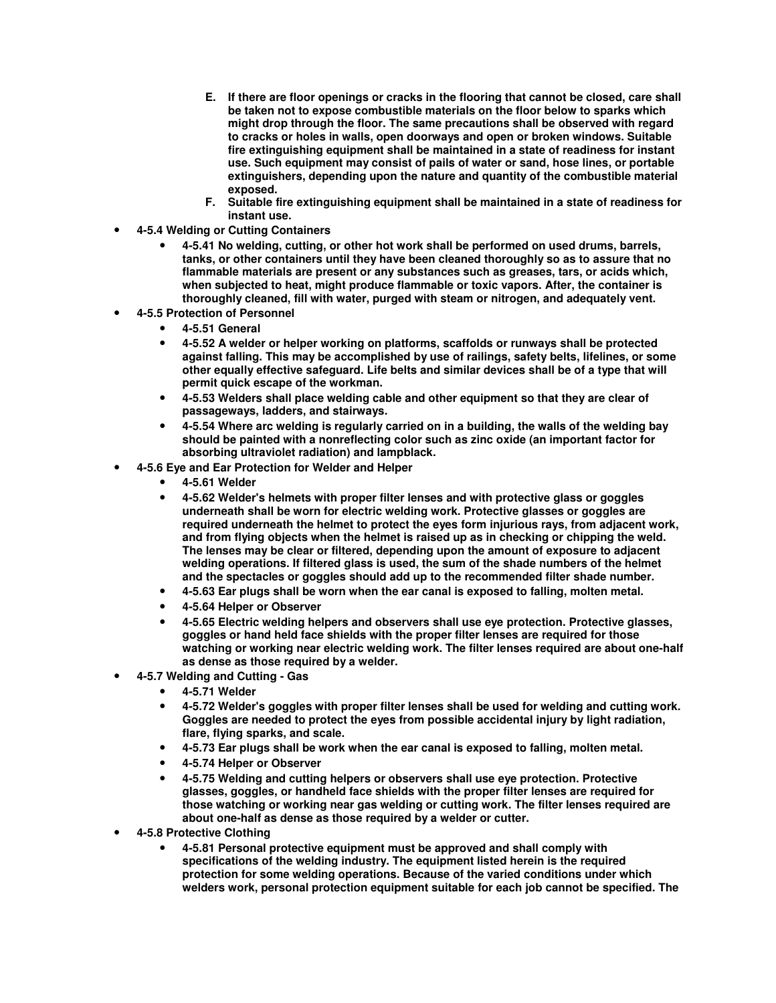- **E. If there are floor openings or cracks in the flooring that cannot be closed, care shall be taken not to expose combustible materials on the floor below to sparks which might drop through the floor. The same precautions shall be observed with regard to cracks or holes in walls, open doorways and open or broken windows. Suitable fire extinguishing equipment shall be maintained in a state of readiness for instant use. Such equipment may consist of pails of water or sand, hose lines, or portable extinguishers, depending upon the nature and quantity of the combustible material exposed.**
- **F. Suitable fire extinguishing equipment shall be maintained in a state of readiness for instant use.**
- **4-5.4 Welding or Cutting Containers** 
	- **4-5.41 No welding, cutting, or other hot work shall be performed on used drums, barrels, tanks, or other containers until they have been cleaned thoroughly so as to assure that no flammable materials are present or any substances such as greases, tars, or acids which, when subjected to heat, might produce flammable or toxic vapors. After, the container is thoroughly cleaned, fill with water, purged with steam or nitrogen, and adequately vent.**
- **4-5.5 Protection of Personnel** 
	- **4-5.51 General**
	- **4-5.52 A welder or helper working on platforms, scaffolds or runways shall be protected against falling. This may be accomplished by use of railings, safety belts, lifelines, or some other equally effective safeguard. Life belts and similar devices shall be of a type that will permit quick escape of the workman.**
	- **4-5.53 Welders shall place welding cable and other equipment so that they are clear of passageways, ladders, and stairways.**
	- **4-5.54 Where arc welding is regularly carried on in a building, the walls of the welding bay should be painted with a nonreflecting color such as zinc oxide (an important factor for absorbing ultraviolet radiation) and lampblack.**
- **4-5.6 Eye and Ear Protection for Welder and Helper** 
	- **4-5.61 Welder**
	- **4-5.62 Welder's helmets with proper filter lenses and with protective glass or goggles underneath shall be worn for electric welding work. Protective glasses or goggles are required underneath the helmet to protect the eyes form injurious rays, from adjacent work, and from flying objects when the helmet is raised up as in checking or chipping the weld. The lenses may be clear or filtered, depending upon the amount of exposure to adjacent welding operations. If filtered glass is used, the sum of the shade numbers of the helmet and the spectacles or goggles should add up to the recommended filter shade number.**
	- **4-5.63 Ear plugs shall be worn when the ear canal is exposed to falling, molten metal.**
	- **4-5.64 Helper or Observer**
	- **4-5.65 Electric welding helpers and observers shall use eye protection. Protective glasses, goggles or hand held face shields with the proper filter lenses are required for those watching or working near electric welding work. The filter lenses required are about one-half as dense as those required by a welder.**
- **4-5.7 Welding and Cutting Gas** 
	- **4-5.71 Welder**
	- **4-5.72 Welder's goggles with proper filter lenses shall be used for welding and cutting work. Goggles are needed to protect the eyes from possible accidental injury by light radiation, flare, flying sparks, and scale.**
	- **4-5.73 Ear plugs shall be work when the ear canal is exposed to falling, molten metal.**
	- **4-5.74 Helper or Observer**
	- **4-5.75 Welding and cutting helpers or observers shall use eye protection. Protective glasses, goggles, or handheld face shields with the proper filter lenses are required for those watching or working near gas welding or cutting work. The filter lenses required are about one-half as dense as those required by a welder or cutter.**
- **4-5.8 Protective Clothing** 
	- **4-5.81 Personal protective equipment must be approved and shall comply with specifications of the welding industry. The equipment listed herein is the required protection for some welding operations. Because of the varied conditions under which welders work, personal protection equipment suitable for each job cannot be specified. The**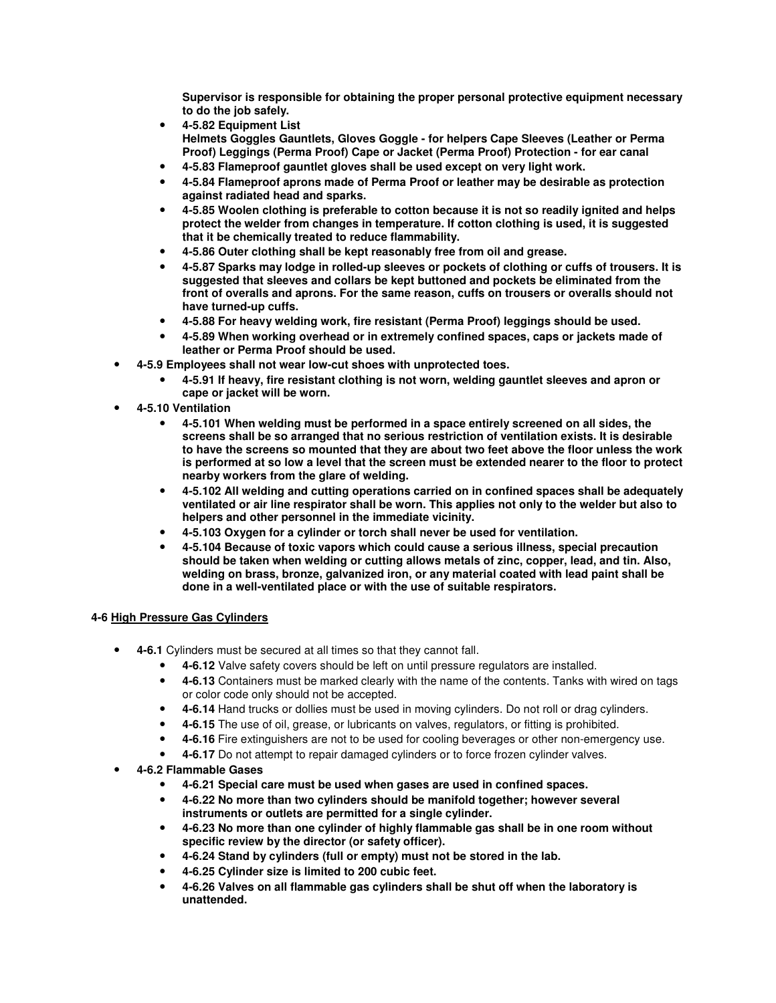**Supervisor is responsible for obtaining the proper personal protective equipment necessary to do the job safely.** 

- **4-5.82 Equipment List Helmets Goggles Gauntlets, Gloves Goggle - for helpers Cape Sleeves (Leather or Perma Proof) Leggings (Perma Proof) Cape or Jacket (Perma Proof) Protection - for ear canal**
- **4-5.83 Flameproof gauntlet gloves shall be used except on very light work.**
- **4-5.84 Flameproof aprons made of Perma Proof or leather may be desirable as protection against radiated head and sparks.**
- **4-5.85 Woolen clothing is preferable to cotton because it is not so readily ignited and helps protect the welder from changes in temperature. If cotton clothing is used, it is suggested that it be chemically treated to reduce flammability.**
- **4-5.86 Outer clothing shall be kept reasonably free from oil and grease.**
- **4-5.87 Sparks may lodge in rolled-up sleeves or pockets of clothing or cuffs of trousers. It is suggested that sleeves and collars be kept buttoned and pockets be eliminated from the front of overalls and aprons. For the same reason, cuffs on trousers or overalls should not have turned-up cuffs.**
- **4-5.88 For heavy welding work, fire resistant (Perma Proof) leggings should be used.**
- **4-5.89 When working overhead or in extremely confined spaces, caps or jackets made of leather or Perma Proof should be used.**
- **4-5.9 Employees shall not wear low-cut shoes with unprotected toes.** 
	- **4-5.91 If heavy, fire resistant clothing is not worn, welding gauntlet sleeves and apron or cape or jacket will be worn.**
- **4-5.10 Ventilation** 
	- **4-5.101 When welding must be performed in a space entirely screened on all sides, the screens shall be so arranged that no serious restriction of ventilation exists. It is desirable to have the screens so mounted that they are about two feet above the floor unless the work is performed at so low a level that the screen must be extended nearer to the floor to protect nearby workers from the glare of welding.**
	- **4-5.102 All welding and cutting operations carried on in confined spaces shall be adequately ventilated or air line respirator shall be worn. This applies not only to the welder but also to helpers and other personnel in the immediate vicinity.**
	- **4-5.103 Oxygen for a cylinder or torch shall never be used for ventilation.**
	- **4-5.104 Because of toxic vapors which could cause a serious illness, special precaution should be taken when welding or cutting allows metals of zinc, copper, lead, and tin. Also, welding on brass, bronze, galvanized iron, or any material coated with lead paint shall be done in a well-ventilated place or with the use of suitable respirators.**

#### **4-6 High Pressure Gas Cylinders**

- **4-6.1** Cylinders must be secured at all times so that they cannot fall.
	- **4-6.12** Valve safety covers should be left on until pressure regulators are installed.
	- **4-6.13** Containers must be marked clearly with the name of the contents. Tanks with wired on tags or color code only should not be accepted.
	- **4-6.14** Hand trucks or dollies must be used in moving cylinders. Do not roll or drag cylinders.
	- **4-6.15** The use of oil, grease, or lubricants on valves, regulators, or fitting is prohibited.
	- **4-6.16** Fire extinguishers are not to be used for cooling beverages or other non-emergency use.
	- **4-6.17** Do not attempt to repair damaged cylinders or to force frozen cylinder valves.
- **4-6.2 Flammable Gases** 
	- **4-6.21 Special care must be used when gases are used in confined spaces.**
	- **4-6.22 No more than two cylinders should be manifold together; however several instruments or outlets are permitted for a single cylinder.**
	- **4-6.23 No more than one cylinder of highly flammable gas shall be in one room without specific review by the director (or safety officer).**
	- **4-6.24 Stand by cylinders (full or empty) must not be stored in the lab.**
	- **4-6.25 Cylinder size is limited to 200 cubic feet.**
	- **4-6.26 Valves on all flammable gas cylinders shall be shut off when the laboratory is unattended.**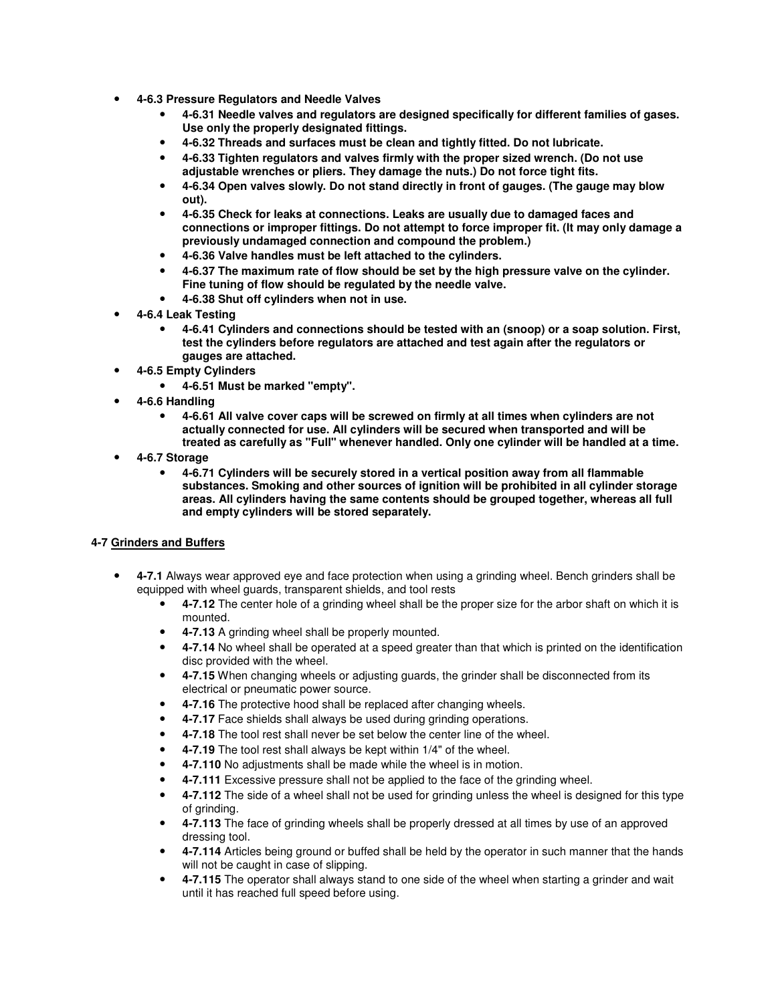- **4-6.3 Pressure Regulators and Needle Valves** 
	- **4-6.31 Needle valves and regulators are designed specifically for different families of gases. Use only the properly designated fittings.**
	- **4-6.32 Threads and surfaces must be clean and tightly fitted. Do not lubricate.**
	- **4-6.33 Tighten regulators and valves firmly with the proper sized wrench. (Do not use adjustable wrenches or pliers. They damage the nuts.) Do not force tight fits.**
	- **4-6.34 Open valves slowly. Do not stand directly in front of gauges. (The gauge may blow out).**
	- **4-6.35 Check for leaks at connections. Leaks are usually due to damaged faces and connections or improper fittings. Do not attempt to force improper fit. (It may only damage a previously undamaged connection and compound the problem.)**
	- **4-6.36 Valve handles must be left attached to the cylinders.**
	- **4-6.37 The maximum rate of flow should be set by the high pressure valve on the cylinder. Fine tuning of flow should be regulated by the needle valve.**
	- **4-6.38 Shut off cylinders when not in use.**
- **4-6.4 Leak Testing** 
	- **4-6.41 Cylinders and connections should be tested with an (snoop) or a soap solution. First, test the cylinders before regulators are attached and test again after the regulators or gauges are attached.**
- **4-6.5 Empty Cylinders** 
	- **4-6.51 Must be marked "empty".**
- **4-6.6 Handling** 
	- **4-6.61 All valve cover caps will be screwed on firmly at all times when cylinders are not actually connected for use. All cylinders will be secured when transported and will be treated as carefully as "Full" whenever handled. Only one cylinder will be handled at a time.**
- **4-6.7 Storage** 
	- **4-6.71 Cylinders will be securely stored in a vertical position away from all flammable substances. Smoking and other sources of ignition will be prohibited in all cylinder storage areas. All cylinders having the same contents should be grouped together, whereas all full and empty cylinders will be stored separately.**

## **4-7 Grinders and Buffers**

- **4-7.1** Always wear approved eye and face protection when using a grinding wheel. Bench grinders shall be equipped with wheel guards, transparent shields, and tool rests
	- **4-7.12** The center hole of a grinding wheel shall be the proper size for the arbor shaft on which it is mounted.
	- **4-7.13** A grinding wheel shall be properly mounted.
	- **4-7.14** No wheel shall be operated at a speed greater than that which is printed on the identification disc provided with the wheel.
	- **4-7.15** When changing wheels or adjusting guards, the grinder shall be disconnected from its electrical or pneumatic power source.
	- **4-7.16** The protective hood shall be replaced after changing wheels.
	- **4-7.17** Face shields shall always be used during grinding operations.
	- **4-7.18** The tool rest shall never be set below the center line of the wheel.
	- **4-7.19** The tool rest shall always be kept within 1/4" of the wheel.
	- **4-7.110** No adjustments shall be made while the wheel is in motion.
	- **4-7.111** Excessive pressure shall not be applied to the face of the grinding wheel.
	- **4-7.112** The side of a wheel shall not be used for grinding unless the wheel is designed for this type of grinding.
	- **4-7.113** The face of grinding wheels shall be properly dressed at all times by use of an approved dressing tool.
	- **4-7.114** Articles being ground or buffed shall be held by the operator in such manner that the hands will not be caught in case of slipping.
	- **4-7.115** The operator shall always stand to one side of the wheel when starting a grinder and wait until it has reached full speed before using.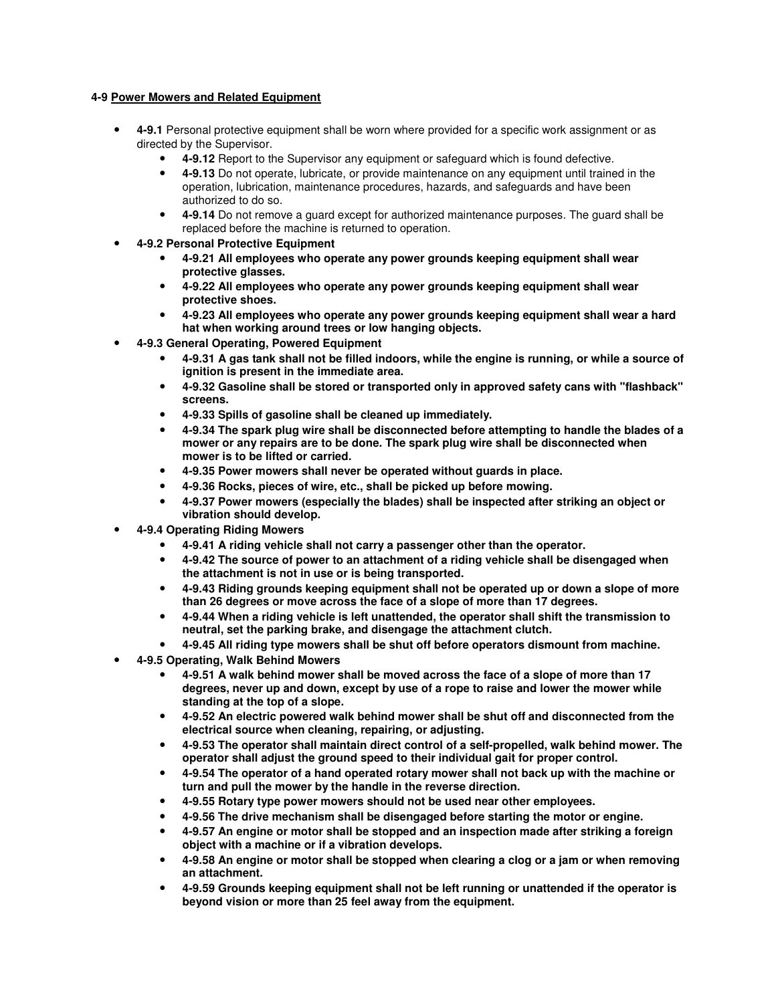## **4-9 Power Mowers and Related Equipment**

- **4-9.1** Personal protective equipment shall be worn where provided for a specific work assignment or as directed by the Supervisor.
	- **4-9.12** Report to the Supervisor any equipment or safeguard which is found defective.
	- **4-9.13** Do not operate, lubricate, or provide maintenance on any equipment until trained in the operation, lubrication, maintenance procedures, hazards, and safeguards and have been authorized to do so.
	- **4-9.14** Do not remove a guard except for authorized maintenance purposes. The guard shall be replaced before the machine is returned to operation.
- **4-9.2 Personal Protective Equipment** 
	- **4-9.21 All employees who operate any power grounds keeping equipment shall wear protective glasses.**
	- **4-9.22 All employees who operate any power grounds keeping equipment shall wear protective shoes.**
	- **4-9.23 All employees who operate any power grounds keeping equipment shall wear a hard hat when working around trees or low hanging objects.**
- **4-9.3 General Operating, Powered Equipment** 
	- **4-9.31 A gas tank shall not be filled indoors, while the engine is running, or while a source of ignition is present in the immediate area.**
	- **4-9.32 Gasoline shall be stored or transported only in approved safety cans with "flashback" screens.**
	- **4-9.33 Spills of gasoline shall be cleaned up immediately.**
	- **4-9.34 The spark plug wire shall be disconnected before attempting to handle the blades of a mower or any repairs are to be done. The spark plug wire shall be disconnected when mower is to be lifted or carried.**
	- **4-9.35 Power mowers shall never be operated without guards in place.**
	- **4-9.36 Rocks, pieces of wire, etc., shall be picked up before mowing.**
	- **4-9.37 Power mowers (especially the blades) shall be inspected after striking an object or vibration should develop.**
- **4-9.4 Operating Riding Mowers** 
	- **4-9.41 A riding vehicle shall not carry a passenger other than the operator.**
	- **4-9.42 The source of power to an attachment of a riding vehicle shall be disengaged when the attachment is not in use or is being transported.**
	- **4-9.43 Riding grounds keeping equipment shall not be operated up or down a slope of more than 26 degrees or move across the face of a slope of more than 17 degrees.**
	- **4-9.44 When a riding vehicle is left unattended, the operator shall shift the transmission to neutral, set the parking brake, and disengage the attachment clutch.**
	- **4-9.45 All riding type mowers shall be shut off before operators dismount from machine.**
- **4-9.5 Operating, Walk Behind Mowers** 
	- **4-9.51 A walk behind mower shall be moved across the face of a slope of more than 17 degrees, never up and down, except by use of a rope to raise and lower the mower while standing at the top of a slope.**
	- **4-9.52 An electric powered walk behind mower shall be shut off and disconnected from the electrical source when cleaning, repairing, or adjusting.**
	- **4-9.53 The operator shall maintain direct control of a self-propelled, walk behind mower. The operator shall adjust the ground speed to their individual gait for proper control.**
	- **4-9.54 The operator of a hand operated rotary mower shall not back up with the machine or turn and pull the mower by the handle in the reverse direction.**
	- **4-9.55 Rotary type power mowers should not be used near other employees.**
	- **4-9.56 The drive mechanism shall be disengaged before starting the motor or engine.**
	- **4-9.57 An engine or motor shall be stopped and an inspection made after striking a foreign object with a machine or if a vibration develops.**
	- **4-9.58 An engine or motor shall be stopped when clearing a clog or a jam or when removing an attachment.**
	- **4-9.59 Grounds keeping equipment shall not be left running or unattended if the operator is beyond vision or more than 25 feel away from the equipment.**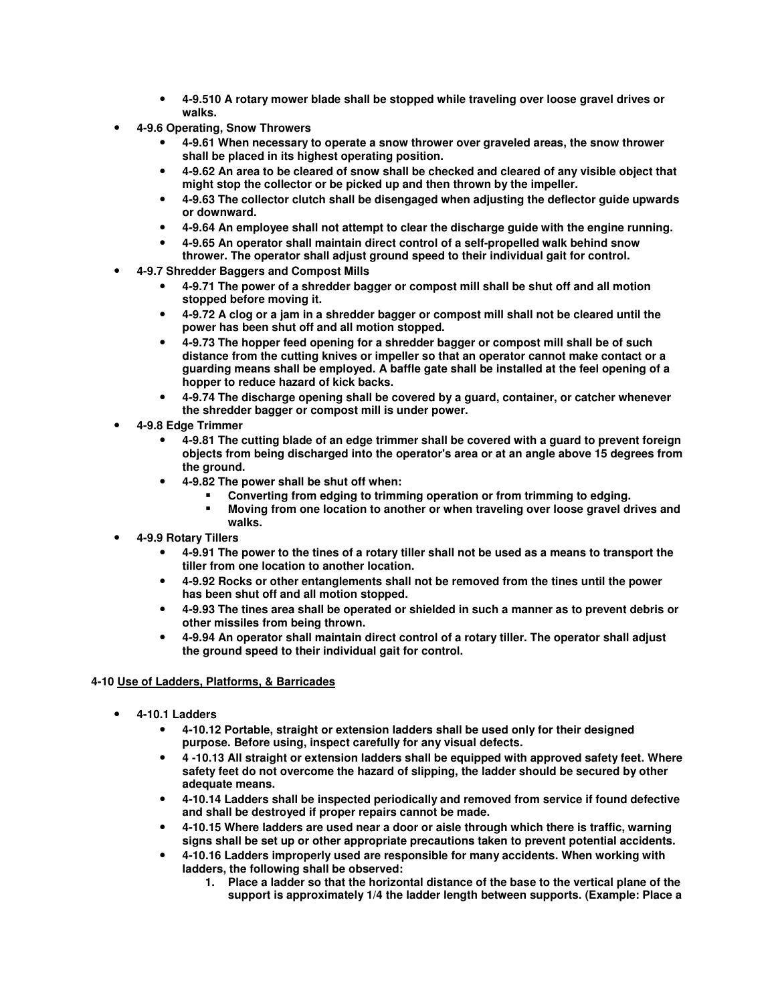- **4-9.510 A rotary mower blade shall be stopped while traveling over loose gravel drives or walks.**
- **4-9.6 Operating, Snow Throwers** 
	- **4-9.61 When necessary to operate a snow thrower over graveled areas, the snow thrower shall be placed in its highest operating position.**
	- **4-9.62 An area to be cleared of snow shall be checked and cleared of any visible object that might stop the collector or be picked up and then thrown by the impeller.**
	- **4-9.63 The collector clutch shall be disengaged when adjusting the deflector guide upwards or downward.**
	- **4-9.64 An employee shall not attempt to clear the discharge guide with the engine running.**
	- **4-9.65 An operator shall maintain direct control of a self-propelled walk behind snow**
	- **thrower. The operator shall adjust ground speed to their individual gait for control.**  • **4-9.7 Shredder Baggers and Compost Mills**
	- **4-9.71 The power of a shredder bagger or compost mill shall be shut off and all motion** 
		- **stopped before moving it.**
		- **4-9.72 A clog or a jam in a shredder bagger or compost mill shall not be cleared until the power has been shut off and all motion stopped.**
		- **4-9.73 The hopper feed opening for a shredder bagger or compost mill shall be of such distance from the cutting knives or impeller so that an operator cannot make contact or a guarding means shall be employed. A baffle gate shall be installed at the feel opening of a hopper to reduce hazard of kick backs.**
		- **4-9.74 The discharge opening shall be covered by a guard, container, or catcher whenever the shredder bagger or compost mill is under power.**
- **4-9.8 Edge Trimmer** 
	- **4-9.81 The cutting blade of an edge trimmer shall be covered with a guard to prevent foreign objects from being discharged into the operator's area or at an angle above 15 degrees from the ground.**
	- **4-9.82 The power shall be shut off when:** 
		- **Converting from edging to trimming operation or from trimming to edging.**
		- **Moving from one location to another or when traveling over loose gravel drives and walks.**
- **4-9.9 Rotary Tillers** 
	- **4-9.91 The power to the tines of a rotary tiller shall not be used as a means to transport the tiller from one location to another location.**
	- **4-9.92 Rocks or other entanglements shall not be removed from the tines until the power has been shut off and all motion stopped.**
	- **4-9.93 The tines area shall be operated or shielded in such a manner as to prevent debris or other missiles from being thrown.**
	- **4-9.94 An operator shall maintain direct control of a rotary tiller. The operator shall adjust the ground speed to their individual gait for control.**

## **4-10 Use of Ladders, Platforms, & Barricades**

- **4-10.1 Ladders** 
	- **4-10.12 Portable, straight or extension ladders shall be used only for their designed purpose. Before using, inspect carefully for any visual defects.**
	- **4 -10.13 All straight or extension ladders shall be equipped with approved safety feet. Where safety feet do not overcome the hazard of slipping, the ladder should be secured by other adequate means.**
	- **4-10.14 Ladders shall be inspected periodically and removed from service if found defective and shall be destroyed if proper repairs cannot be made.**
	- **4-10.15 Where ladders are used near a door or aisle through which there is traffic, warning signs shall be set up or other appropriate precautions taken to prevent potential accidents.**
	- **4-10.16 Ladders improperly used are responsible for many accidents. When working with ladders, the following shall be observed:** 
		- **1. Place a ladder so that the horizontal distance of the base to the vertical plane of the support is approximately 1/4 the ladder length between supports. (Example: Place a**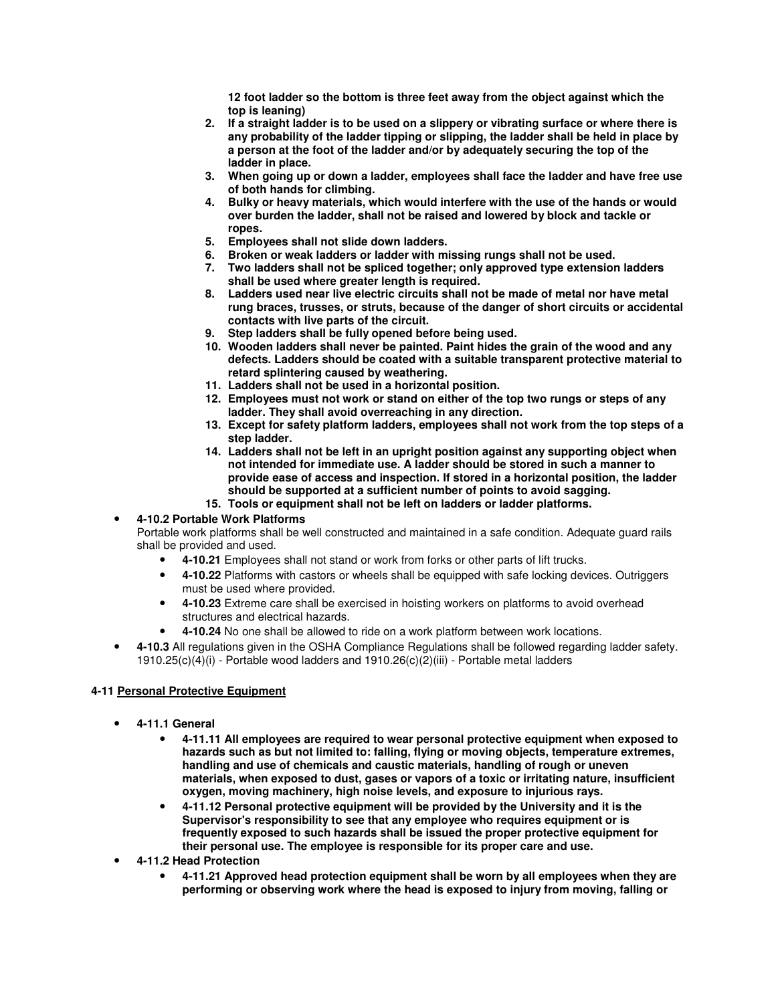**12 foot ladder so the bottom is three feet away from the object against which the top is leaning)** 

- **2. If a straight ladder is to be used on a slippery or vibrating surface or where there is any probability of the ladder tipping or slipping, the ladder shall be held in place by a person at the foot of the ladder and/or by adequately securing the top of the ladder in place.**
- **3. When going up or down a ladder, employees shall face the ladder and have free use of both hands for climbing.**
- **4. Bulky or heavy materials, which would interfere with the use of the hands or would over burden the ladder, shall not be raised and lowered by block and tackle or ropes.**
- **5. Employees shall not slide down ladders.**
- **6. Broken or weak ladders or ladder with missing rungs shall not be used.**
- **7. Two ladders shall not be spliced together; only approved type extension ladders shall be used where greater length is required.**
- **8. Ladders used near live electric circuits shall not be made of metal nor have metal rung braces, trusses, or struts, because of the danger of short circuits or accidental contacts with live parts of the circuit.**
- **9. Step ladders shall be fully opened before being used.**
- **10. Wooden ladders shall never be painted. Paint hides the grain of the wood and any defects. Ladders should be coated with a suitable transparent protective material to retard splintering caused by weathering.**
- **11. Ladders shall not be used in a horizontal position.**
- **12. Employees must not work or stand on either of the top two rungs or steps of any ladder. They shall avoid overreaching in any direction.**
- **13. Except for safety platform ladders, employees shall not work from the top steps of a step ladder.**
- **14. Ladders shall not be left in an upright position against any supporting object when not intended for immediate use. A ladder should be stored in such a manner to provide ease of access and inspection. If stored in a horizontal position, the ladder should be supported at a sufficient number of points to avoid sagging.**
- **15. Tools or equipment shall not be left on ladders or ladder platforms.**

## • **4-10.2 Portable Work Platforms**

Portable work platforms shall be well constructed and maintained in a safe condition. Adequate guard rails shall be provided and used.

- **4-10.21** Employees shall not stand or work from forks or other parts of lift trucks.
- **4-10.22** Platforms with castors or wheels shall be equipped with safe locking devices. Outriggers must be used where provided.
- **4-10.23** Extreme care shall be exercised in hoisting workers on platforms to avoid overhead structures and electrical hazards.
- **4-10.24** No one shall be allowed to ride on a work platform between work locations.
- **4-10.3** All regulations given in the OSHA Compliance Regulations shall be followed regarding ladder safety. 1910.25(c)(4)(i) - Portable wood ladders and 1910.26(c)(2)(iii) - Portable metal ladders

#### **4-11 Personal Protective Equipment**

- **4-11.1 General** 
	- **4-11.11 All employees are required to wear personal protective equipment when exposed to hazards such as but not limited to: falling, flying or moving objects, temperature extremes, handling and use of chemicals and caustic materials, handling of rough or uneven materials, when exposed to dust, gases or vapors of a toxic or irritating nature, insufficient oxygen, moving machinery, high noise levels, and exposure to injurious rays.**
	- **4-11.12 Personal protective equipment will be provided by the University and it is the Supervisor's responsibility to see that any employee who requires equipment or is frequently exposed to such hazards shall be issued the proper protective equipment for their personal use. The employee is responsible for its proper care and use.**
- **4-11.2 Head Protection** 
	- **4-11.21 Approved head protection equipment shall be worn by all employees when they are performing or observing work where the head is exposed to injury from moving, falling or**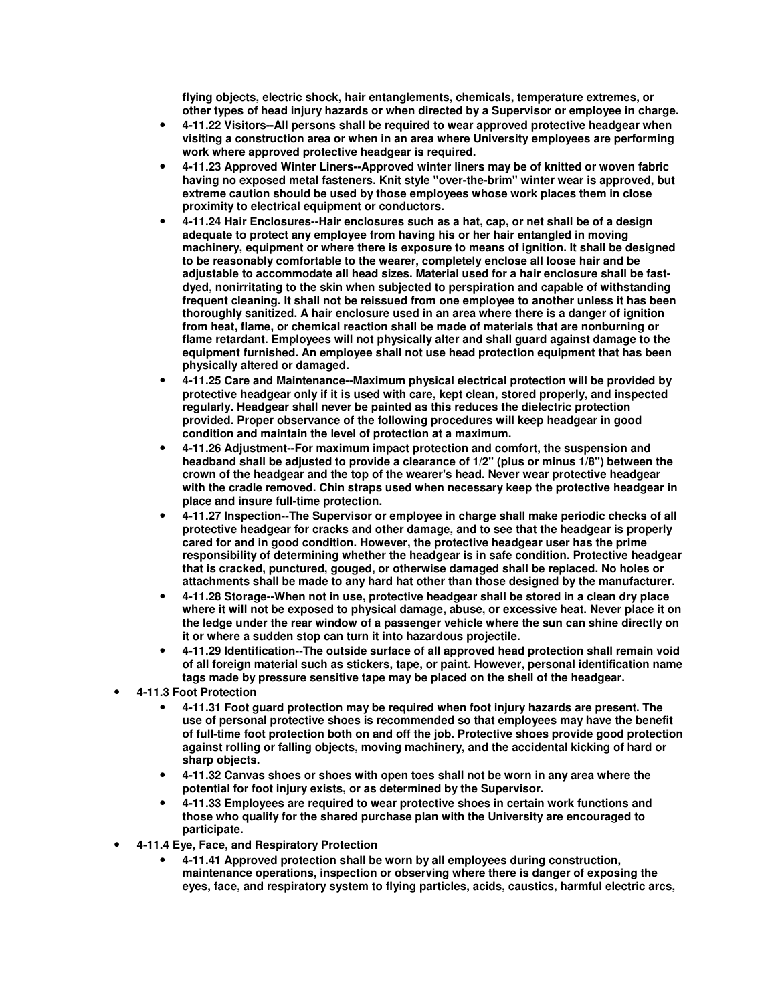**flying objects, electric shock, hair entanglements, chemicals, temperature extremes, or other types of head injury hazards or when directed by a Supervisor or employee in charge.** 

- **4-11.22 Visitors--All persons shall be required to wear approved protective headgear when visiting a construction area or when in an area where University employees are performing work where approved protective headgear is required.**
- **4-11.23 Approved Winter Liners--Approved winter liners may be of knitted or woven fabric having no exposed metal fasteners. Knit style "over-the-brim" winter wear is approved, but extreme caution should be used by those employees whose work places them in close proximity to electrical equipment or conductors.**
- **4-11.24 Hair Enclosures--Hair enclosures such as a hat, cap, or net shall be of a design adequate to protect any employee from having his or her hair entangled in moving machinery, equipment or where there is exposure to means of ignition. It shall be designed to be reasonably comfortable to the wearer, completely enclose all loose hair and be adjustable to accommodate all head sizes. Material used for a hair enclosure shall be fastdyed, nonirritating to the skin when subjected to perspiration and capable of withstanding frequent cleaning. It shall not be reissued from one employee to another unless it has been thoroughly sanitized. A hair enclosure used in an area where there is a danger of ignition from heat, flame, or chemical reaction shall be made of materials that are nonburning or flame retardant. Employees will not physically alter and shall guard against damage to the equipment furnished. An employee shall not use head protection equipment that has been physically altered or damaged.**
- **4-11.25 Care and Maintenance--Maximum physical electrical protection will be provided by protective headgear only if it is used with care, kept clean, stored properly, and inspected regularly. Headgear shall never be painted as this reduces the dielectric protection provided. Proper observance of the following procedures will keep headgear in good condition and maintain the level of protection at a maximum.**
- **4-11.26 Adjustment--For maximum impact protection and comfort, the suspension and headband shall be adjusted to provide a clearance of 1/2" (plus or minus 1/8") between the crown of the headgear and the top of the wearer's head. Never wear protective headgear with the cradle removed. Chin straps used when necessary keep the protective headgear in place and insure full-time protection.**
- **4-11.27 Inspection--The Supervisor or employee in charge shall make periodic checks of all protective headgear for cracks and other damage, and to see that the headgear is properly cared for and in good condition. However, the protective headgear user has the prime responsibility of determining whether the headgear is in safe condition. Protective headgear that is cracked, punctured, gouged, or otherwise damaged shall be replaced. No holes or attachments shall be made to any hard hat other than those designed by the manufacturer.**
- **4-11.28 Storage--When not in use, protective headgear shall be stored in a clean dry place where it will not be exposed to physical damage, abuse, or excessive heat. Never place it on the ledge under the rear window of a passenger vehicle where the sun can shine directly on it or where a sudden stop can turn it into hazardous projectile.**
- **4-11.29 Identification--The outside surface of all approved head protection shall remain void of all foreign material such as stickers, tape, or paint. However, personal identification name tags made by pressure sensitive tape may be placed on the shell of the headgear.**
- **4-11.3 Foot Protection** 
	- **4-11.31 Foot guard protection may be required when foot injury hazards are present. The use of personal protective shoes is recommended so that employees may have the benefit of full-time foot protection both on and off the job. Protective shoes provide good protection against rolling or falling objects, moving machinery, and the accidental kicking of hard or sharp objects.**
	- **4-11.32 Canvas shoes or shoes with open toes shall not be worn in any area where the potential for foot injury exists, or as determined by the Supervisor.**
	- **4-11.33 Employees are required to wear protective shoes in certain work functions and those who qualify for the shared purchase plan with the University are encouraged to participate.**
- **4-11.4 Eye, Face, and Respiratory Protection** 
	- **4-11.41 Approved protection shall be worn by all employees during construction, maintenance operations, inspection or observing where there is danger of exposing the eyes, face, and respiratory system to flying particles, acids, caustics, harmful electric arcs,**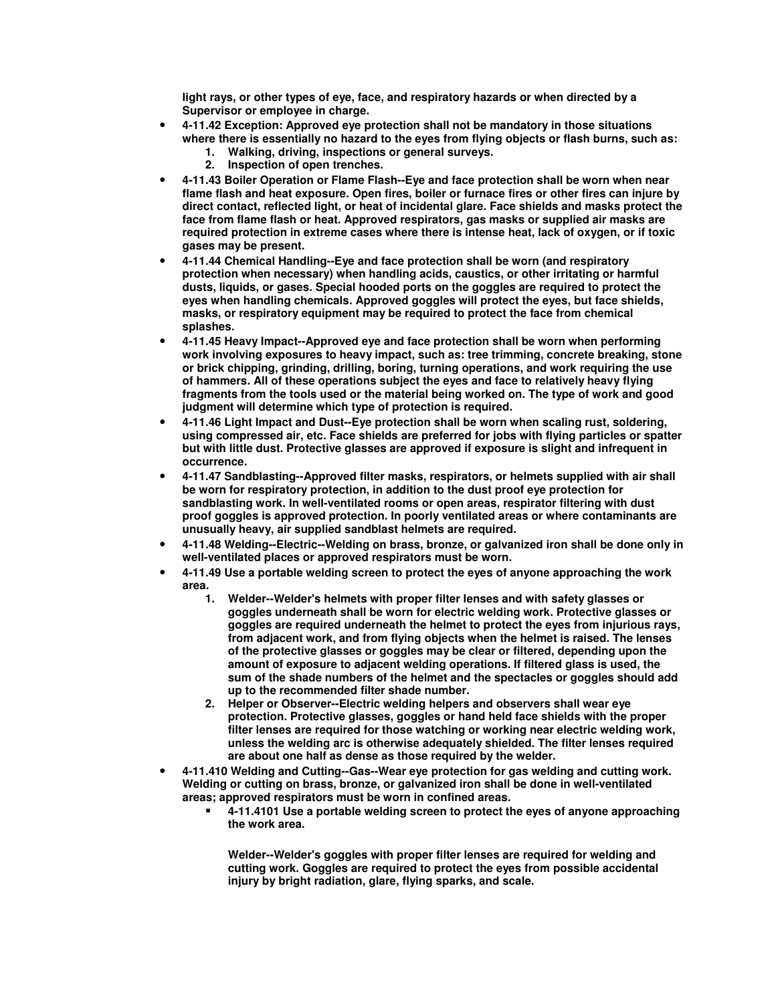**light rays, or other types of eye, face, and respiratory hazards or when directed by a Supervisor or employee in charge.** 

- **4-11.42 Exception: Approved eye protection shall not be mandatory in those situations where there is essentially no hazard to the eyes from flying objects or flash burns, such as:** 
	- **1. Walking, driving, inspections or general surveys.**
	- **2. Inspection of open trenches.**
- **4-11.43 Boiler Operation or Flame Flash--Eye and face protection shall be worn when near flame flash and heat exposure. Open fires, boiler or furnace fires or other fires can injure by direct contact, reflected light, or heat of incidental glare. Face shields and masks protect the face from flame flash or heat. Approved respirators, gas masks or supplied air masks are required protection in extreme cases where there is intense heat, lack of oxygen, or if toxic gases may be present.**
- **4-11.44 Chemical Handling--Eye and face protection shall be worn (and respiratory protection when necessary) when handling acids, caustics, or other irritating or harmful dusts, liquids, or gases. Special hooded ports on the goggles are required to protect the eyes when handling chemicals. Approved goggles will protect the eyes, but face shields, masks, or respiratory equipment may be required to protect the face from chemical splashes.**
- **4-11.45 Heavy Impact--Approved eye and face protection shall be worn when performing work involving exposures to heavy impact, such as: tree trimming, concrete breaking, stone or brick chipping, grinding, drilling, boring, turning operations, and work requiring the use of hammers. All of these operations subject the eyes and face to relatively heavy flying fragments from the tools used or the material being worked on. The type of work and good judgment will determine which type of protection is required.**
- **4-11.46 Light Impact and Dust--Eye protection shall be worn when scaling rust, soldering, using compressed air, etc. Face shields are preferred for jobs with flying particles or spatter but with little dust. Protective glasses are approved if exposure is slight and infrequent in occurrence.**
- **4-11.47 Sandblasting--Approved filter masks, respirators, or helmets supplied with air shall be worn for respiratory protection, in addition to the dust proof eye protection for sandblasting work. In well-ventilated rooms or open areas, respirator filtering with dust proof goggles is approved protection. In poorly ventilated areas or where contaminants are unusually heavy, air supplied sandblast helmets are required.**
- **4-11.48 Welding--Electric--Welding on brass, bronze, or galvanized iron shall be done only in well-ventilated places or approved respirators must be worn.**
- **4-11.49 Use a portable welding screen to protect the eyes of anyone approaching the work area.** 
	- **1. Welder--Welder's helmets with proper filter lenses and with safety glasses or goggles underneath shall be worn for electric welding work. Protective glasses or goggles are required underneath the helmet to protect the eyes from injurious rays, from adjacent work, and from flying objects when the helmet is raised. The lenses of the protective glasses or goggles may be clear or filtered, depending upon the amount of exposure to adjacent welding operations. If filtered glass is used, the sum of the shade numbers of the helmet and the spectacles or goggles should add up to the recommended filter shade number.**
	- **2. Helper or Observer--Electric welding helpers and observers shall wear eye protection. Protective glasses, goggles or hand held face shields with the proper filter lenses are required for those watching or working near electric welding work, unless the welding arc is otherwise adequately shielded. The filter lenses required are about one half as dense as those required by the welder.**
- **4-11.410 Welding and Cutting--Gas--Wear eye protection for gas welding and cutting work. Welding or cutting on brass, bronze, or galvanized iron shall be done in well-ventilated areas; approved respirators must be worn in confined areas.** 
	- **4-11.4101 Use a portable welding screen to protect the eyes of anyone approaching the work area.**

**Welder--Welder's goggles with proper filter lenses are required for welding and cutting work. Goggles are required to protect the eyes from possible accidental injury by bright radiation, glare, flying sparks, and scale.**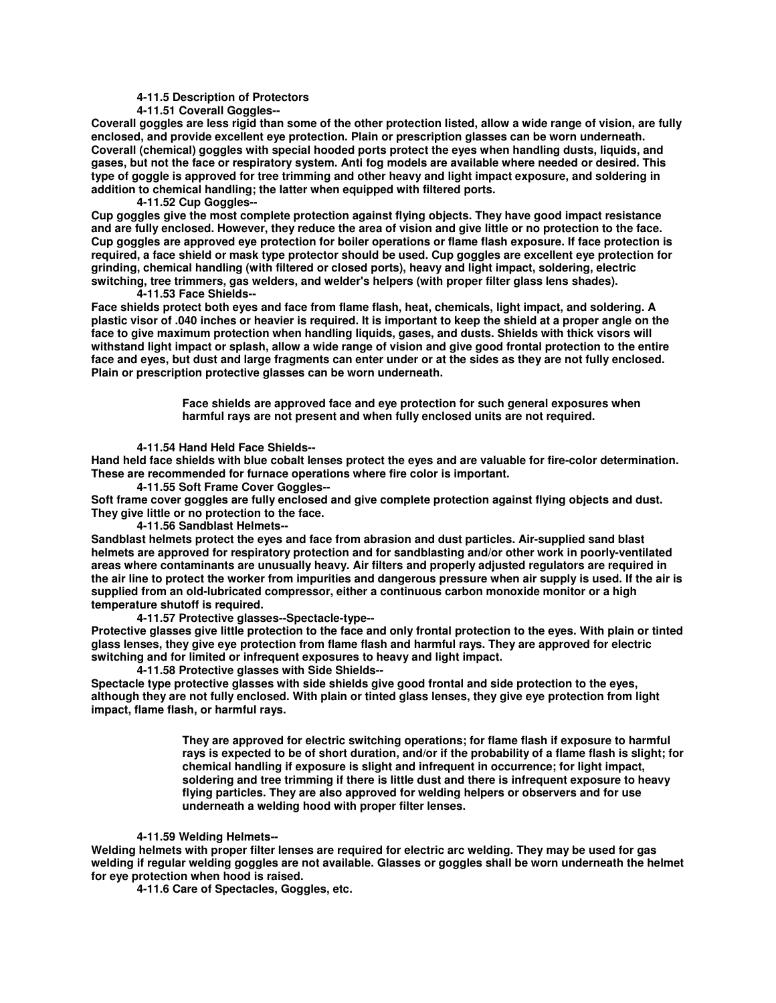**4-11.5 Description of Protectors** 

 **4-11.51 Coverall Goggles--** 

**Coverall goggles are less rigid than some of the other protection listed, allow a wide range of vision, are fully enclosed, and provide excellent eye protection. Plain or prescription glasses can be worn underneath. Coverall (chemical) goggles with special hooded ports protect the eyes when handling dusts, liquids, and gases, but not the face or respiratory system. Anti fog models are available where needed or desired. This type of goggle is approved for tree trimming and other heavy and light impact exposure, and soldering in addition to chemical handling; the latter when equipped with filtered ports.** 

 **4-11.52 Cup Goggles--** 

**Cup goggles give the most complete protection against flying objects. They have good impact resistance and are fully enclosed. However, they reduce the area of vision and give little or no protection to the face. Cup goggles are approved eye protection for boiler operations or flame flash exposure. If face protection is required, a face shield or mask type protector should be used. Cup goggles are excellent eye protection for grinding, chemical handling (with filtered or closed ports), heavy and light impact, soldering, electric switching, tree trimmers, gas welders, and welder's helpers (with proper filter glass lens shades). 4-11.53 Face Shields--** 

**Face shields protect both eyes and face from flame flash, heat, chemicals, light impact, and soldering. A plastic visor of .040 inches or heavier is required. It is important to keep the shield at a proper angle on the face to give maximum protection when handling liquids, gases, and dusts. Shields with thick visors will withstand light impact or splash, allow a wide range of vision and give good frontal protection to the entire face and eyes, but dust and large fragments can enter under or at the sides as they are not fully enclosed. Plain or prescription protective glasses can be worn underneath.** 

> **Face shields are approved face and eye protection for such general exposures when harmful rays are not present and when fully enclosed units are not required.**

 **4-11.54 Hand Held Face Shields--** 

**Hand held face shields with blue cobalt lenses protect the eyes and are valuable for fire-color determination. These are recommended for furnace operations where fire color is important.** 

 **4-11.55 Soft Frame Cover Goggles--** 

**Soft frame cover goggles are fully enclosed and give complete protection against flying objects and dust. They give little or no protection to the face.** 

 **4-11.56 Sandblast Helmets--** 

**Sandblast helmets protect the eyes and face from abrasion and dust particles. Air-supplied sand blast helmets are approved for respiratory protection and for sandblasting and/or other work in poorly-ventilated areas where contaminants are unusually heavy. Air filters and properly adjusted regulators are required in the air line to protect the worker from impurities and dangerous pressure when air supply is used. If the air is supplied from an old-lubricated compressor, either a continuous carbon monoxide monitor or a high temperature shutoff is required.** 

 **4-11.57 Protective glasses--Spectacle-type--** 

**Protective glasses give little protection to the face and only frontal protection to the eyes. With plain or tinted glass lenses, they give eye protection from flame flash and harmful rays. They are approved for electric switching and for limited or infrequent exposures to heavy and light impact.** 

 **4-11.58 Protective glasses with Side Shields--** 

**Spectacle type protective glasses with side shields give good frontal and side protection to the eyes, although they are not fully enclosed. With plain or tinted glass lenses, they give eye protection from light impact, flame flash, or harmful rays.** 

> **They are approved for electric switching operations; for flame flash if exposure to harmful rays is expected to be of short duration, and/or if the probability of a flame flash is slight; for chemical handling if exposure is slight and infrequent in occurrence; for light impact, soldering and tree trimming if there is little dust and there is infrequent exposure to heavy flying particles. They are also approved for welding helpers or observers and for use underneath a welding hood with proper filter lenses.**

#### **4-11.59 Welding Helmets--**

**Welding helmets with proper filter lenses are required for electric arc welding. They may be used for gas welding if regular welding goggles are not available. Glasses or goggles shall be worn underneath the helmet for eye protection when hood is raised.** 

 **4-11.6 Care of Spectacles, Goggles, etc.**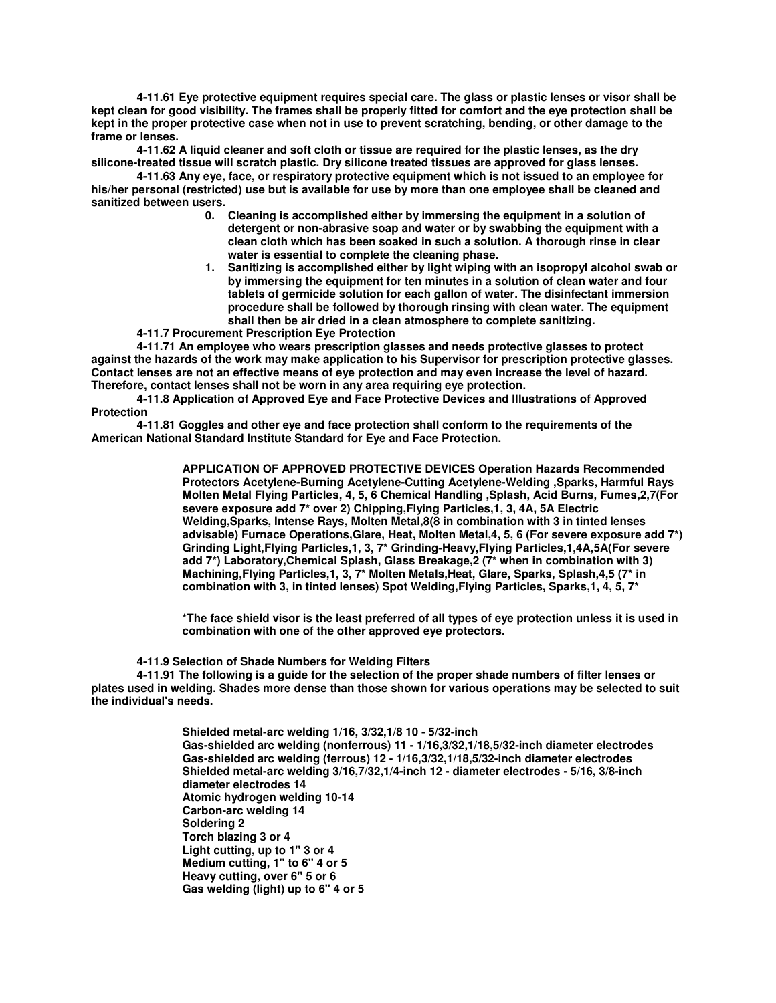**4-11.61 Eye protective equipment requires special care. The glass or plastic lenses or visor shall be kept clean for good visibility. The frames shall be properly fitted for comfort and the eye protection shall be kept in the proper protective case when not in use to prevent scratching, bending, or other damage to the frame or lenses.** 

 **4-11.62 A liquid cleaner and soft cloth or tissue are required for the plastic lenses, as the dry silicone-treated tissue will scratch plastic. Dry silicone treated tissues are approved for glass lenses.** 

 **4-11.63 Any eye, face, or respiratory protective equipment which is not issued to an employee for his/her personal (restricted) use but is available for use by more than one employee shall be cleaned and sanitized between users.** 

- **0. Cleaning is accomplished either by immersing the equipment in a solution of detergent or non-abrasive soap and water or by swabbing the equipment with a clean cloth which has been soaked in such a solution. A thorough rinse in clear water is essential to complete the cleaning phase.**
- **1. Sanitizing is accomplished either by light wiping with an isopropyl alcohol swab or by immersing the equipment for ten minutes in a solution of clean water and four tablets of germicide solution for each gallon of water. The disinfectant immersion procedure shall be followed by thorough rinsing with clean water. The equipment shall then be air dried in a clean atmosphere to complete sanitizing.**
- **4-11.7 Procurement Prescription Eye Protection**

 **4-11.71 An employee who wears prescription glasses and needs protective glasses to protect against the hazards of the work may make application to his Supervisor for prescription protective glasses. Contact lenses are not an effective means of eye protection and may even increase the level of hazard. Therefore, contact lenses shall not be worn in any area requiring eye protection.** 

 **4-11.8 Application of Approved Eye and Face Protective Devices and Illustrations of Approved Protection** 

 **4-11.81 Goggles and other eye and face protection shall conform to the requirements of the American National Standard Institute Standard for Eye and Face Protection.** 

> **APPLICATION OF APPROVED PROTECTIVE DEVICES Operation Hazards Recommended Protectors Acetylene-Burning Acetylene-Cutting Acetylene-Welding ,Sparks, Harmful Rays Molten Metal Flying Particles, 4, 5, 6 Chemical Handling ,Splash, Acid Burns, Fumes,2,7(For severe exposure add 7\* over 2) Chipping,Flying Particles,1, 3, 4A, 5A Electric Welding,Sparks, Intense Rays, Molten Metal,8(8 in combination with 3 in tinted lenses advisable) Furnace Operations,Glare, Heat, Molten Metal,4, 5, 6 (For severe exposure add 7\*) Grinding Light,Flying Particles,1, 3, 7\* Grinding-Heavy,Flying Particles,1,4A,5A(For severe add 7\*) Laboratory,Chemical Splash, Glass Breakage,2 (7\* when in combination with 3) Machining,Flying Particles,1, 3, 7\* Molten Metals,Heat, Glare, Sparks, Splash,4,5 (7\* in combination with 3, in tinted lenses) Spot Welding,Flying Particles, Sparks,1, 4, 5, 7\***

> **\*The face shield visor is the least preferred of all types of eye protection unless it is used in combination with one of the other approved eye protectors.**

 **4-11.9 Selection of Shade Numbers for Welding Filters** 

 **4-11.91 The following is a guide for the selection of the proper shade numbers of filter lenses or plates used in welding. Shades more dense than those shown for various operations may be selected to suit the individual's needs.** 

> **Shielded metal-arc welding 1/16, 3/32,1/8 10 - 5/32-inch Gas-shielded arc welding (nonferrous) 11 - 1/16,3/32,1/18,5/32-inch diameter electrodes Gas-shielded arc welding (ferrous) 12 - 1/16,3/32,1/18,5/32-inch diameter electrodes Shielded metal-arc welding 3/16,7/32,1/4-inch 12 - diameter electrodes - 5/16, 3/8-inch diameter electrodes 14 Atomic hydrogen welding 10-14 Carbon-arc welding 14 Soldering 2 Torch blazing 3 or 4 Light cutting, up to 1" 3 or 4 Medium cutting, 1" to 6" 4 or 5 Heavy cutting, over 6" 5 or 6 Gas welding (light) up to 6" 4 or 5**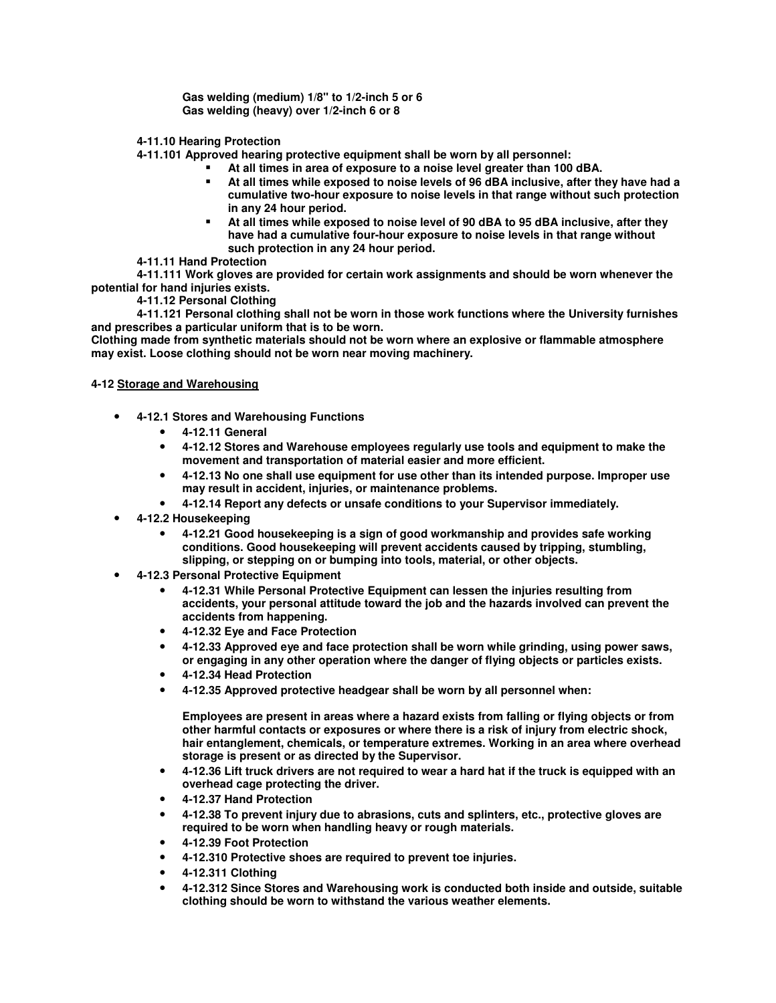**Gas welding (medium) 1/8" to 1/2-inch 5 or 6 Gas welding (heavy) over 1/2-inch 6 or 8** 

 **4-11.10 Hearing Protection** 

 **4-11.101 Approved hearing protective equipment shall be worn by all personnel:** 

- **At all times in area of exposure to a noise level greater than 100 dBA.**
- **At all times while exposed to noise levels of 96 dBA inclusive, after they have had a cumulative two-hour exposure to noise levels in that range without such protection in any 24 hour period.**
- **At all times while exposed to noise level of 90 dBA to 95 dBA inclusive, after they have had a cumulative four-hour exposure to noise levels in that range without such protection in any 24 hour period.**
- **4-11.11 Hand Protection**

 **4-11.111 Work gloves are provided for certain work assignments and should be worn whenever the potential for hand injuries exists.** 

 **4-11.12 Personal Clothing** 

 **4-11.121 Personal clothing shall not be worn in those work functions where the University furnishes and prescribes a particular uniform that is to be worn.** 

**Clothing made from synthetic materials should not be worn where an explosive or flammable atmosphere may exist. Loose clothing should not be worn near moving machinery.** 

## **4-12 Storage and Warehousing**

- **4-12.1 Stores and Warehousing Functions** 
	- **4-12.11 General**
	- **4-12.12 Stores and Warehouse employees regularly use tools and equipment to make the movement and transportation of material easier and more efficient.**
	- **4-12.13 No one shall use equipment for use other than its intended purpose. Improper use may result in accident, injuries, or maintenance problems.**
	- **4-12.14 Report any defects or unsafe conditions to your Supervisor immediately.**
- **4-12.2 Housekeeping** 
	- **4-12.21 Good housekeeping is a sign of good workmanship and provides safe working conditions. Good housekeeping will prevent accidents caused by tripping, stumbling, slipping, or stepping on or bumping into tools, material, or other objects.**
- **4-12.3 Personal Protective Equipment** 
	- **4-12.31 While Personal Protective Equipment can lessen the injuries resulting from accidents, your personal attitude toward the job and the hazards involved can prevent the accidents from happening.**
	- **4-12.32 Eye and Face Protection**
	- **4-12.33 Approved eye and face protection shall be worn while grinding, using power saws, or engaging in any other operation where the danger of flying objects or particles exists.**
	- **4-12.34 Head Protection**
	- **4-12.35 Approved protective headgear shall be worn by all personnel when:**

**Employees are present in areas where a hazard exists from falling or flying objects or from other harmful contacts or exposures or where there is a risk of injury from electric shock, hair entanglement, chemicals, or temperature extremes. Working in an area where overhead storage is present or as directed by the Supervisor.** 

- **4-12.36 Lift truck drivers are not required to wear a hard hat if the truck is equipped with an overhead cage protecting the driver.**
- **4-12.37 Hand Protection**
- **4-12.38 To prevent injury due to abrasions, cuts and splinters, etc., protective gloves are required to be worn when handling heavy or rough materials.**
- **4-12.39 Foot Protection**
- **4-12.310 Protective shoes are required to prevent toe injuries.**
- **4-12.311 Clothing**
- **4-12.312 Since Stores and Warehousing work is conducted both inside and outside, suitable clothing should be worn to withstand the various weather elements.**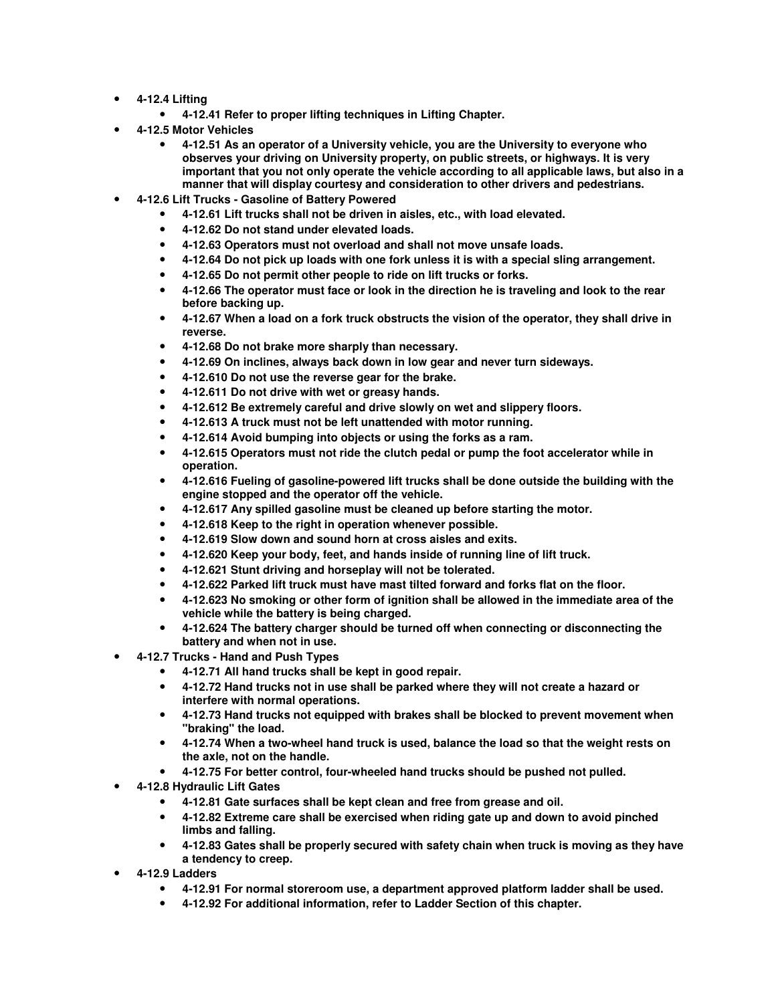- **4-12.4 Lifting** 
	- **4-12.41 Refer to proper lifting techniques in Lifting Chapter.**
- **4-12.5 Motor Vehicles** 
	- **4-12.51 As an operator of a University vehicle, you are the University to everyone who observes your driving on University property, on public streets, or highways. It is very important that you not only operate the vehicle according to all applicable laws, but also in a manner that will display courtesy and consideration to other drivers and pedestrians.**
- **4-12.6 Lift Trucks Gasoline of Battery Powered** 
	- **4-12.61 Lift trucks shall not be driven in aisles, etc., with load elevated.**
	- **4-12.62 Do not stand under elevated loads.**
	- **4-12.63 Operators must not overload and shall not move unsafe loads.**
	- **4-12.64 Do not pick up loads with one fork unless it is with a special sling arrangement.**
	- **4-12.65 Do not permit other people to ride on lift trucks or forks.**
	- **4-12.66 The operator must face or look in the direction he is traveling and look to the rear before backing up.**
	- **4-12.67 When a load on a fork truck obstructs the vision of the operator, they shall drive in reverse.**
	- **4-12.68 Do not brake more sharply than necessary.**
	- **4-12.69 On inclines, always back down in low gear and never turn sideways.**
	- **4-12.610 Do not use the reverse gear for the brake.**
	- **4-12.611 Do not drive with wet or greasy hands.**
	- **4-12.612 Be extremely careful and drive slowly on wet and slippery floors.**
	- **4-12.613 A truck must not be left unattended with motor running.**
	- **4-12.614 Avoid bumping into objects or using the forks as a ram.**
	- **4-12.615 Operators must not ride the clutch pedal or pump the foot accelerator while in operation.**
	- **4-12.616 Fueling of gasoline-powered lift trucks shall be done outside the building with the engine stopped and the operator off the vehicle.**
	- **4-12.617 Any spilled gasoline must be cleaned up before starting the motor.**
	- **4-12.618 Keep to the right in operation whenever possible.**
	- **4-12.619 Slow down and sound horn at cross aisles and exits.**
	- **4-12.620 Keep your body, feet, and hands inside of running line of lift truck.**
	- **4-12.621 Stunt driving and horseplay will not be tolerated.**
	- **4-12.622 Parked lift truck must have mast tilted forward and forks flat on the floor.**
	- **4-12.623 No smoking or other form of ignition shall be allowed in the immediate area of the vehicle while the battery is being charged.**
	- **4-12.624 The battery charger should be turned off when connecting or disconnecting the battery and when not in use.**
- **4-12.7 Trucks Hand and Push Types** 
	- **4-12.71 All hand trucks shall be kept in good repair.**
	- **4-12.72 Hand trucks not in use shall be parked where they will not create a hazard or interfere with normal operations.**
	- **4-12.73 Hand trucks not equipped with brakes shall be blocked to prevent movement when "braking" the load.**
	- **4-12.74 When a two-wheel hand truck is used, balance the load so that the weight rests on the axle, not on the handle.**
	- **4-12.75 For better control, four-wheeled hand trucks should be pushed not pulled.**
- **4-12.8 Hydraulic Lift Gates** 
	- **4-12.81 Gate surfaces shall be kept clean and free from grease and oil.**
	- **4-12.82 Extreme care shall be exercised when riding gate up and down to avoid pinched limbs and falling.**
	- **4-12.83 Gates shall be properly secured with safety chain when truck is moving as they have a tendency to creep.**
- **4-12.9 Ladders** 
	- **4-12.91 For normal storeroom use, a department approved platform ladder shall be used.**
	- **4-12.92 For additional information, refer to Ladder Section of this chapter.**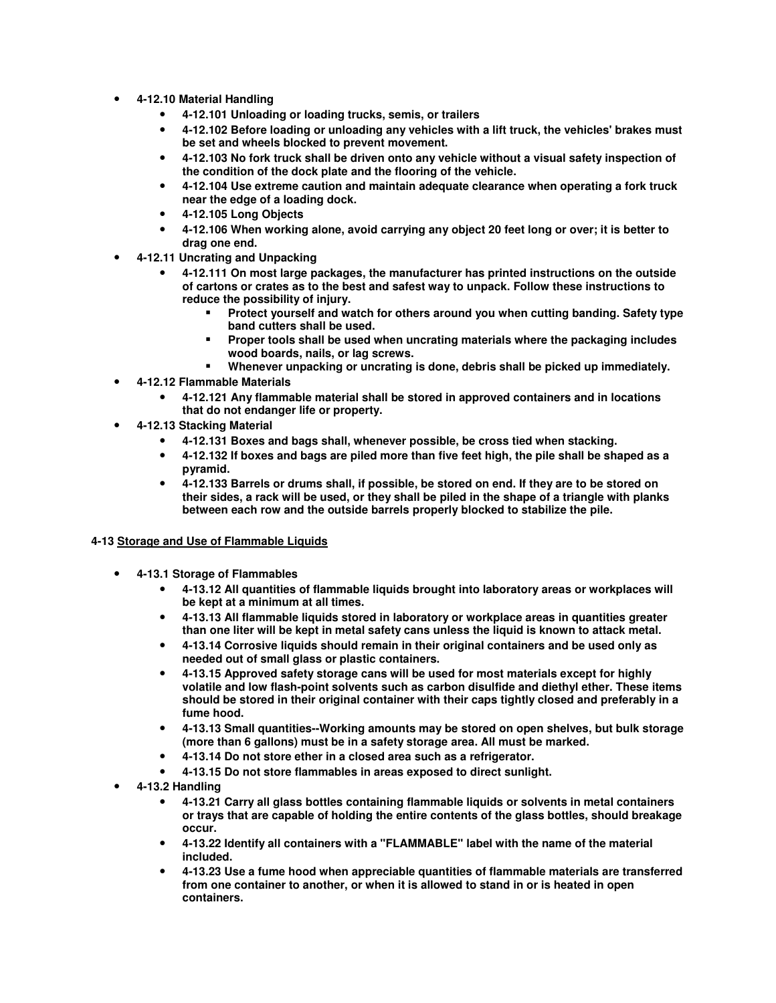- **4-12.10 Material Handling** 
	- **4-12.101 Unloading or loading trucks, semis, or trailers**
	- **4-12.102 Before loading or unloading any vehicles with a lift truck, the vehicles' brakes must be set and wheels blocked to prevent movement.**
	- **4-12.103 No fork truck shall be driven onto any vehicle without a visual safety inspection of the condition of the dock plate and the flooring of the vehicle.**
	- **4-12.104 Use extreme caution and maintain adequate clearance when operating a fork truck near the edge of a loading dock.**
	- **4-12.105 Long Objects**
	- **4-12.106 When working alone, avoid carrying any object 20 feet long or over; it is better to drag one end.**
- **4-12.11 Uncrating and Unpacking** 
	- **4-12.111 On most large packages, the manufacturer has printed instructions on the outside of cartons or crates as to the best and safest way to unpack. Follow these instructions to reduce the possibility of injury.** 
		- **Protect yourself and watch for others around you when cutting banding. Safety type band cutters shall be used.**
		- **Proper tools shall be used when uncrating materials where the packaging includes wood boards, nails, or lag screws.**
		- **Whenever unpacking or uncrating is done, debris shall be picked up immediately.**
- **4-12.12 Flammable Materials** 
	- **4-12.121 Any flammable material shall be stored in approved containers and in locations that do not endanger life or property.**
- **4-12.13 Stacking Material** 
	- **4-12.131 Boxes and bags shall, whenever possible, be cross tied when stacking.**
	- **4-12.132 If boxes and bags are piled more than five feet high, the pile shall be shaped as a pyramid.**
	- **4-12.133 Barrels or drums shall, if possible, be stored on end. If they are to be stored on their sides, a rack will be used, or they shall be piled in the shape of a triangle with planks between each row and the outside barrels properly blocked to stabilize the pile.**

#### **4-13 Storage and Use of Flammable Liquids**

- **4-13.1 Storage of Flammables** 
	- **4-13.12 All quantities of flammable liquids brought into laboratory areas or workplaces will be kept at a minimum at all times.**
	- **4-13.13 All flammable liquids stored in laboratory or workplace areas in quantities greater than one liter will be kept in metal safety cans unless the liquid is known to attack metal.**
	- **4-13.14 Corrosive liquids should remain in their original containers and be used only as needed out of small glass or plastic containers.**
	- **4-13.15 Approved safety storage cans will be used for most materials except for highly volatile and low flash-point solvents such as carbon disulfide and diethyl ether. These items should be stored in their original container with their caps tightly closed and preferably in a fume hood.**
	- **4-13.13 Small quantities--Working amounts may be stored on open shelves, but bulk storage (more than 6 gallons) must be in a safety storage area. All must be marked.**
	- **4-13.14 Do not store ether in a closed area such as a refrigerator.**
	- **4-13.15 Do not store flammables in areas exposed to direct sunlight.**
- **4-13.2 Handling** 
	- **4-13.21 Carry all glass bottles containing flammable liquids or solvents in metal containers or trays that are capable of holding the entire contents of the glass bottles, should breakage occur.**
	- **4-13.22 Identify all containers with a "FLAMMABLE" label with the name of the material included.**
	- **4-13.23 Use a fume hood when appreciable quantities of flammable materials are transferred from one container to another, or when it is allowed to stand in or is heated in open containers.**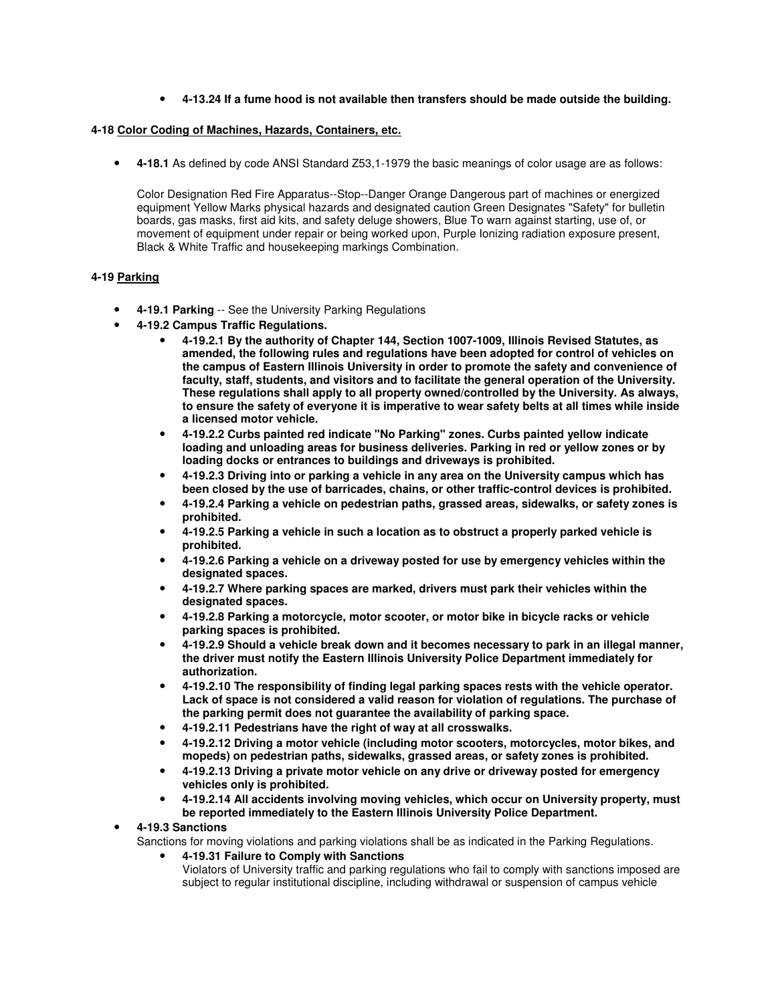## • **4-13.24 If a fume hood is not available then transfers should be made outside the building.**

#### **4-18 Color Coding of Machines, Hazards, Containers, etc.**

• **4-18.1** As defined by code ANSI Standard Z53,1-1979 the basic meanings of color usage are as follows:

Color Designation Red Fire Apparatus--Stop--Danger Orange Dangerous part of machines or energized equipment Yellow Marks physical hazards and designated caution Green Designates "Safety" for bulletin boards, gas masks, first aid kits, and safety deluge showers, Blue To warn against starting, use of, or movement of equipment under repair or being worked upon, Purple Ionizing radiation exposure present, Black & White Traffic and housekeeping markings Combination.

#### **4-19 Parking**

- **4-19.1 Parking** -- See the University Parking Regulations
- **4-19.2 Campus Traffic Regulations.** 
	- **4-19.2.1 By the authority of Chapter 144, Section 1007-1009, Illinois Revised Statutes, as amended, the following rules and regulations have been adopted for control of vehicles on the campus of Eastern Illinois University in order to promote the safety and convenience of faculty, staff, students, and visitors and to facilitate the general operation of the University. These regulations shall apply to all property owned/controlled by the University. As always, to ensure the safety of everyone it is imperative to wear safety belts at all times while inside a licensed motor vehicle.**
	- **4-19.2.2 Curbs painted red indicate "No Parking" zones. Curbs painted yellow indicate loading and unloading areas for business deliveries. Parking in red or yellow zones or by loading docks or entrances to buildings and driveways is prohibited.**
	- **4-19.2.3 Driving into or parking a vehicle in any area on the University campus which has been closed by the use of barricades, chains, or other traffic-control devices is prohibited.**
	- **4-19.2.4 Parking a vehicle on pedestrian paths, grassed areas, sidewalks, or safety zones is prohibited.**
	- **4-19.2.5 Parking a vehicle in such a location as to obstruct a properly parked vehicle is prohibited.**
	- **4-19.2.6 Parking a vehicle on a driveway posted for use by emergency vehicles within the designated spaces.**
	- **4-19.2.7 Where parking spaces are marked, drivers must park their vehicles within the designated spaces.**
	- **4-19.2.8 Parking a motorcycle, motor scooter, or motor bike in bicycle racks or vehicle parking spaces is prohibited.**
	- **4-19.2.9 Should a vehicle break down and it becomes necessary to park in an illegal manner, the driver must notify the Eastern Illinois University Police Department immediately for authorization.**
	- **4-19.2.10 The responsibility of finding legal parking spaces rests with the vehicle operator. Lack of space is not considered a valid reason for violation of regulations. The purchase of the parking permit does not guarantee the availability of parking space.**
	- **4-19.2.11 Pedestrians have the right of way at all crosswalks.**
	- **4-19.2.12 Driving a motor vehicle (including motor scooters, motorcycles, motor bikes, and mopeds) on pedestrian paths, sidewalks, grassed areas, or safety zones is prohibited.**
	- **4-19.2.13 Driving a private motor vehicle on any drive or driveway posted for emergency vehicles only is prohibited.**
	- **4-19.2.14 All accidents involving moving vehicles, which occur on University property, must be reported immediately to the Eastern Illinois University Police Department.**

#### • **4-19.3 Sanctions**

Sanctions for moving violations and parking violations shall be as indicated in the Parking Regulations.

• **4-19.31 Failure to Comply with Sanctions** Violators of University traffic and parking regulations who fail to comply with sanctions imposed are subject to regular institutional discipline, including withdrawal or suspension of campus vehicle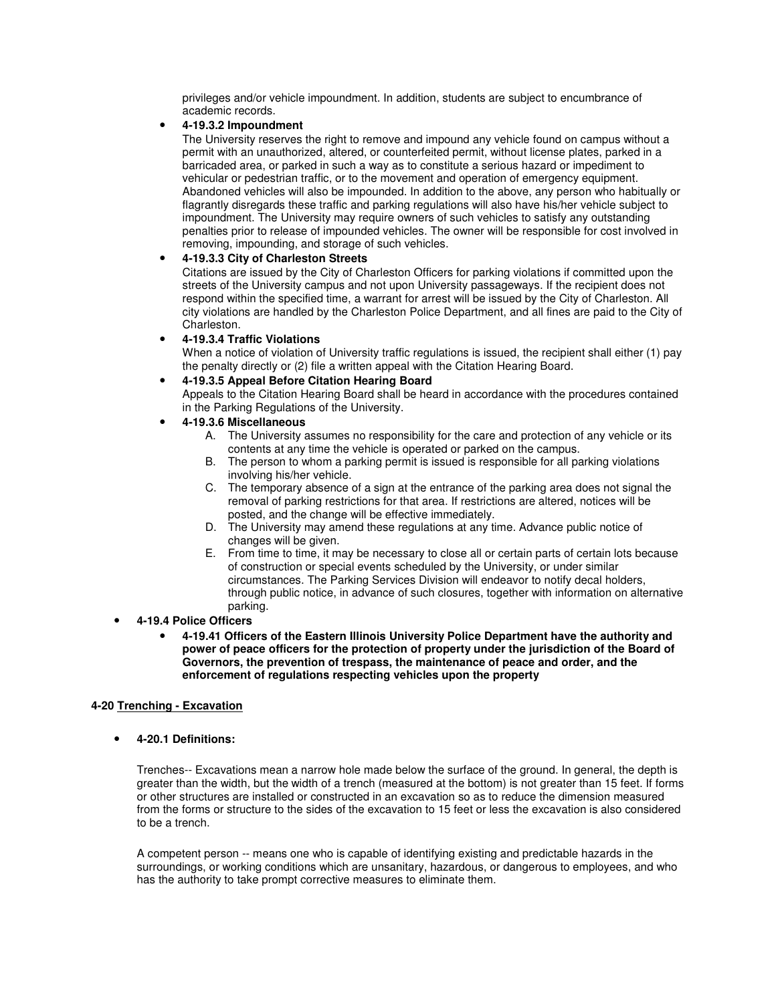privileges and/or vehicle impoundment. In addition, students are subject to encumbrance of academic records.

#### • **4-19.3.2 Impoundment**

The University reserves the right to remove and impound any vehicle found on campus without a permit with an unauthorized, altered, or counterfeited permit, without license plates, parked in a barricaded area, or parked in such a way as to constitute a serious hazard or impediment to vehicular or pedestrian traffic, or to the movement and operation of emergency equipment. Abandoned vehicles will also be impounded. In addition to the above, any person who habitually or flagrantly disregards these traffic and parking regulations will also have his/her vehicle subject to impoundment. The University may require owners of such vehicles to satisfy any outstanding penalties prior to release of impounded vehicles. The owner will be responsible for cost involved in removing, impounding, and storage of such vehicles.

## • **4-19.3.3 City of Charleston Streets**

Citations are issued by the City of Charleston Officers for parking violations if committed upon the streets of the University campus and not upon University passageways. If the recipient does not respond within the specified time, a warrant for arrest will be issued by the City of Charleston. All city violations are handled by the Charleston Police Department, and all fines are paid to the City of Charleston.

## • **4-19.3.4 Traffic Violations**

When a notice of violation of University traffic regulations is issued, the recipient shall either (1) pay the penalty directly or (2) file a written appeal with the Citation Hearing Board.

## • **4-19.3.5 Appeal Before Citation Hearing Board**

Appeals to the Citation Hearing Board shall be heard in accordance with the procedures contained in the Parking Regulations of the University.

## • **4-19.3.6 Miscellaneous**

- A. The University assumes no responsibility for the care and protection of any vehicle or its contents at any time the vehicle is operated or parked on the campus.
- B. The person to whom a parking permit is issued is responsible for all parking violations involving his/her vehicle.
- C. The temporary absence of a sign at the entrance of the parking area does not signal the removal of parking restrictions for that area. If restrictions are altered, notices will be posted, and the change will be effective immediately.
- D. The University may amend these regulations at any time. Advance public notice of changes will be given.
- E. From time to time, it may be necessary to close all or certain parts of certain lots because of construction or special events scheduled by the University, or under similar circumstances. The Parking Services Division will endeavor to notify decal holders, through public notice, in advance of such closures, together with information on alternative parking.

#### • **4-19.4 Police Officers**

• **4-19.41 Officers of the Eastern Illinois University Police Department have the authority and power of peace officers for the protection of property under the jurisdiction of the Board of Governors, the prevention of trespass, the maintenance of peace and order, and the enforcement of regulations respecting vehicles upon the property** 

#### **4-20 Trenching - Excavation**

• **4-20.1 Definitions:**

Trenches-- Excavations mean a narrow hole made below the surface of the ground. In general, the depth is greater than the width, but the width of a trench (measured at the bottom) is not greater than 15 feet. If forms or other structures are installed or constructed in an excavation so as to reduce the dimension measured from the forms or structure to the sides of the excavation to 15 feet or less the excavation is also considered to be a trench.

A competent person -- means one who is capable of identifying existing and predictable hazards in the surroundings, or working conditions which are unsanitary, hazardous, or dangerous to employees, and who has the authority to take prompt corrective measures to eliminate them.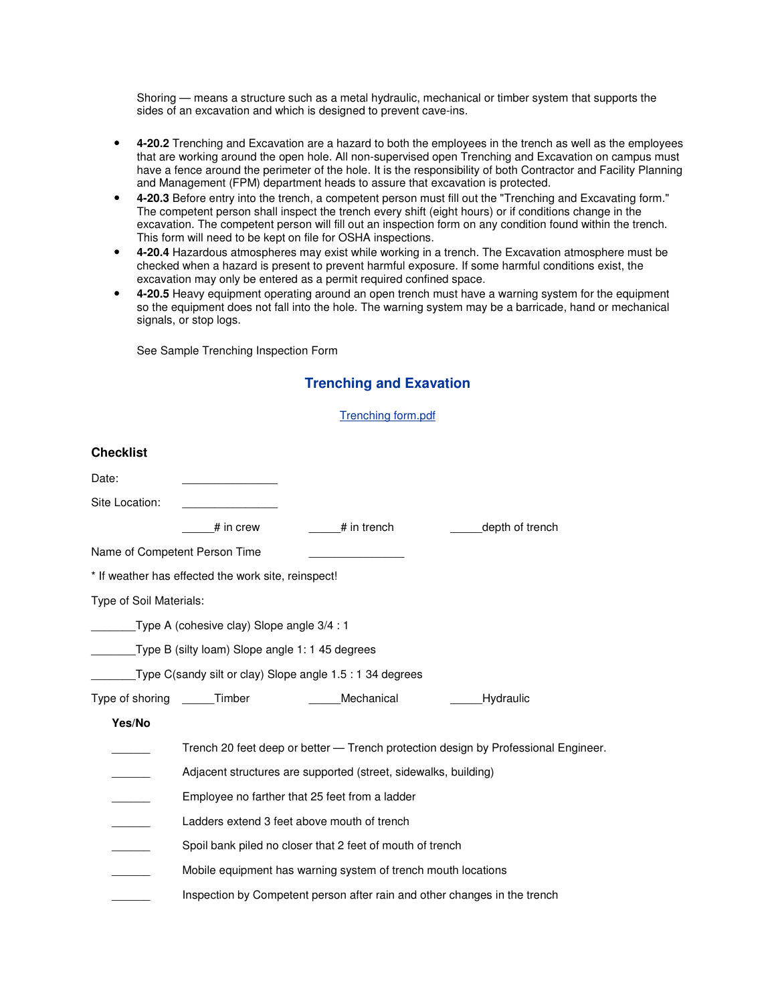Shoring — means a structure such as a metal hydraulic, mechanical or timber system that supports the sides of an excavation and which is designed to prevent cave-ins.

- **4-20.2** Trenching and Excavation are a hazard to both the employees in the trench as well as the employees that are working around the open hole. All non-supervised open Trenching and Excavation on campus must have a fence around the perimeter of the hole. It is the responsibility of both Contractor and Facility Planning and Management (FPM) department heads to assure that excavation is protected.
- **4-20.3** Before entry into the trench, a competent person must fill out the "Trenching and Excavating form." The competent person shall inspect the trench every shift (eight hours) or if conditions change in the excavation. The competent person will fill out an inspection form on any condition found within the trench. This form will need to be kept on file for OSHA inspections.
- **4-20.4** Hazardous atmospheres may exist while working in a trench. The Excavation atmosphere must be checked when a hazard is present to prevent harmful exposure. If some harmful conditions exist, the excavation may only be entered as a permit required confined space.
- **4-20.5** Heavy equipment operating around an open trench must have a warning system for the equipment so the equipment does not fall into the hole. The warning system may be a barricade, hand or mechanical signals, or stop logs.

See Sample Trenching Inspection Form

## **Trenching and Exavation**

Trenching form.pdf

| Date:                   |                                                                                    |                                                                           |                 |  |
|-------------------------|------------------------------------------------------------------------------------|---------------------------------------------------------------------------|-----------------|--|
| Site Location:          |                                                                                    |                                                                           |                 |  |
|                         | # in crew                                                                          | # in trench                                                               | depth of trench |  |
|                         | Name of Competent Person Time                                                      |                                                                           |                 |  |
|                         | * If weather has effected the work site, reinspect!                                |                                                                           |                 |  |
| Type of Soil Materials: |                                                                                    |                                                                           |                 |  |
|                         | Type A (cohesive clay) Slope angle 3/4 : 1                                         |                                                                           |                 |  |
|                         | Type B (silty loam) Slope angle 1: 1 45 degrees                                    |                                                                           |                 |  |
|                         |                                                                                    | $\blacksquare$ Type C(sandy silt or clay) Slope angle 1.5 : 1 34 degrees  |                 |  |
|                         | Type of shoring Timber                                                             | Mechanical                                                                | Hydraulic       |  |
| Yes/No                  |                                                                                    |                                                                           |                 |  |
|                         | Trench 20 feet deep or better — Trench protection design by Professional Engineer. |                                                                           |                 |  |
|                         | Adjacent structures are supported (street, sidewalks, building)                    |                                                                           |                 |  |
|                         | Employee no farther that 25 feet from a ladder                                     |                                                                           |                 |  |
|                         | Ladders extend 3 feet above mouth of trench                                        |                                                                           |                 |  |
|                         | Spoil bank piled no closer that 2 feet of mouth of trench                          |                                                                           |                 |  |
|                         | Mobile equipment has warning system of trench mouth locations                      |                                                                           |                 |  |
|                         |                                                                                    | Inspection by Competent person after rain and other changes in the trench |                 |  |